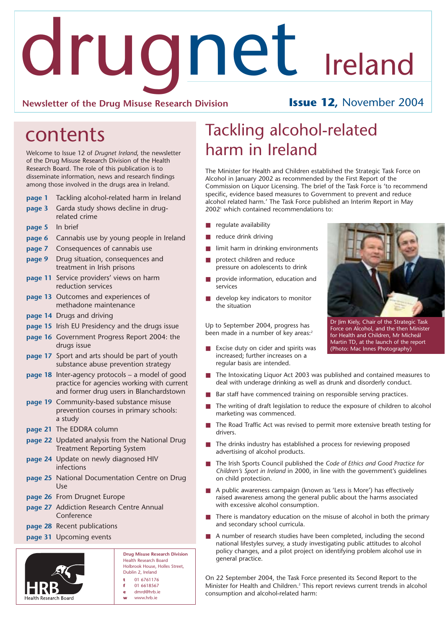# drugnet Ireland

### **Newsletter of the Drug Misuse Research Division Issue 12,** November 2004

# contents

Welcome to Issue 12 of *Drugnet Ireland*, the newsletter of the Drug Misuse Research Division of the Health Research Board. The role of this publication is to disseminate information, news and research findings among those involved in the drugs area in Ireland.

### **page 1** Tackling alcohol-related harm in Ireland

- **page 3** Garda study shows decline in drugrelated crime
- **page 5** In brief
- **page 6** Cannabis use by young people in Ireland
- **page 7** Consequences of cannabis use
- **page 9** Drug situation, consequences and treatment in Irish prisons
- **page 11** Service providers' views on harm reduction services
- **page 13** Outcomes and experiences of methadone maintenance
- **page 14** Drugs and driving
- **page 15** Irish EU Presidency and the drugs issue
- **page 16** Government Progress Report 2004: the drugs issue
- **page 17** Sport and arts should be part of youth substance abuse prevention strategy
- **page 18** Inter-agency protocols a model of good practice for agencies working with current and former drug users in Blanchardstown
- **page 19** Community-based substance misuse prevention courses in primary schools: a study
- **page 21** The EDDRA column
- **page 22** Updated analysis from the National Drug Treatment Reporting System
- **page 24** Update on newly diagnosed HIV infections
- **page 25** National Documentation Centre on Drug Use
- **page 26** From Drugnet Europe
- **page 27** Addiction Research Centre Annual Conference
- **page 28** Recent publications
- **page 31** Upcoming events



**Drug Misuse Research Division** Health Research Board Holbrook House, Holles Street, Dublin 2, Ireland **t** 01 6761176 **f** 01 6618567 **e** dmrd@hrb.ie

**w** www.hrb.ie

# Tackling alcohol-related harm in Ireland

The Minister for Health and Children established the Strategic Task Force on Alcohol in January 2002 as recommended by the First Report of the Commission on Liquor Licensing. The brief of the Task Force is 'to recommend specific, evidence based measures to Government to prevent and reduce alcohol related harm.' The Task Force published an Interim Report in May 2002<sup>1</sup> which contained recommendations to:

- regulate availability
- reduce drink driving
- limit harm in drinking environments
- protect children and reduce pressure on adolescents to drink
- provide information, education and services
- develop key indicators to monitor the situation

Up to September 2004, progress has been made in a number of key areas:<sup>2</sup>

■ Excise duty on cider and spirits was increased; further increases on a regular basis are intended.



Dr Jim Kiely, Chair of the Strategic Task Force on Alcohol, and the then Minister for Health and Children, Mr Micheál Martin TD, at the launch of the report (Photo: Mac Innes Photography)

- The Intoxicating Liquor Act 2003 was published and contained measures to deal with underage drinking as well as drunk and disorderly conduct.
- Bar staff have commenced training on responsible serving practices.
- The writing of draft legislation to reduce the exposure of children to alcohol marketing was commenced.
- The Road Traffic Act was revised to permit more extensive breath testing for drivers.
- The drinks industry has established a process for reviewing proposed advertising of alcohol products.
- The Irish Sports Council published the *Code of Ethics and Good Practice for Children's Sport in Ireland* in 2000, in line with the government's guidelines on child protection.
- A public awareness campaign (known as 'Less is More') has effectively raised awareness among the general public about the harms associated with excessive alcohol consumption.
- There is mandatory education on the misuse of alcohol in both the primary and secondary school curricula.
- A number of research studies have been completed, including the second national lifestyles survey, a study investigating public attitudes to alcohol policy changes, and a pilot project on identifying problem alcohol use in general practice.

On 22 September 2004, the Task Force presented its Second Report to the Minister for Health and Children.2 This report reviews current trends in alcohol consumption and alcohol-related harm: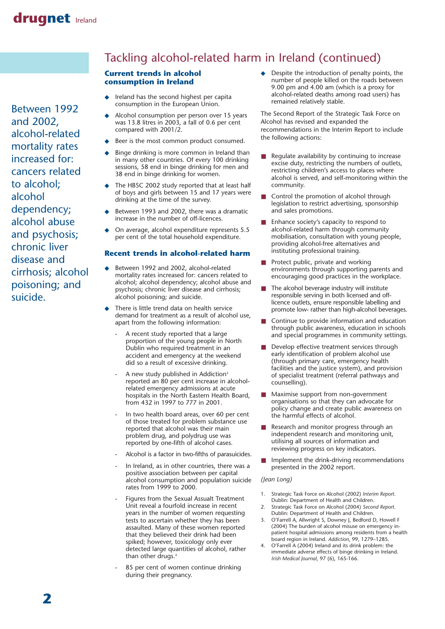Between 1992 and 2002, alcohol-related mortality rates increased for: cancers related to alcohol; alcohol dependency; alcohol abuse and psychosis; chronic liver disease and cirrhosis; alcohol poisoning; and suicide.

# Tackling alcohol-related harm in Ireland (continued)

### **Current trends in alcohol consumption in Ireland**

- Ireland has the second highest per capita consumption in the European Union.
- Alcohol consumption per person over 15 years was 13.8 litres in 2003, a fall of 0.6 per cent compared with 2001/2.
- Beer is the most common product consumed.
- Binge drinking is more common in Ireland than in many other countries. Of every 100 drinking sessions, 58 end in binge drinking for men and 38 end in binge drinking for women.
- The HBSC 2002 study reported that at least half of boys and girls between 15 and 17 years were drinking at the time of the survey.
- Between 1993 and 2002, there was a dramatic increase in the number of off-licences.
- On average, alcohol expenditure represents 5.5 per cent of the total household expenditure.

### **Recent trends in alcohol-related harm**

- Between 1992 and 2002, alcohol-related mortality rates increased for: cancers related to alcohol; alcohol dependency; alcohol abuse and psychosis; chronic liver disease and cirrhosis; alcohol poisoning; and suicide.
- There is little trend data on health service demand for treatment as a result of alcohol use, apart from the following information:
	- A recent study reported that a large proportion of the young people in North Dublin who required treatment in an accident and emergency at the weekend did so a result of excessive drinking.
	- A new study published in Addiction<sup>3</sup> reported an 80 per cent increase in alcoholrelated emergency admissions at acute hospitals in the North Eastern Health Board, from 432 in 1997 to 777 in 2001.
	- In two health board areas, over 60 per cent of those treated for problem substance use reported that alcohol was their main problem drug, and polydrug use was reported by one-fifth of alcohol cases.
	- Alcohol is a factor in two-fifths of parasuicides.
	- In Ireland, as in other countries, there was a positive association between per capital alcohol consumption and population suicide rates from 1999 to 2000.
	- Figures from the Sexual Assualt Treatment Unit reveal a fourfold increase in recent years in the number of women requesting tests to ascertain whether they has been assaulted. Many of these women reported that they believed their drink had been spiked; however, toxicology only ever detected large quantities of alcohol, rather than other drugs.4
	- 85 per cent of women continue drinking during their pregnancy.

◆ Despite the introduction of penalty points, the number of people killed on the roads between 9.00 pm and 4.00 am (which is a proxy for alcohol-related deaths among road users) has remained relatively stable.

The Second Report of the Strategic Task Force on Alcohol has revised and expanded the recommendations in the Interim Report to include the following actions:

- Regulate availability by continuing to increase excise duty, restricting the numbers of outlets, restricting children's access to places where alcohol is served, and self-monitoring within the community.
- Control the promotion of alcohol through legislation to restrict advertising, sponsorship and sales promotions.
- Enhance society's capacity to respond to alcohol-related harm through community mobilisation, consultation with young people, providing alcohol-free alternatives and instituting professional training.
- Protect public, private and working environments through supporting parents and encouraging good practices in the workplace.
- The alcohol beverage industry will institute responsible serving in both licensed and offlicence outlets, ensure responsible labelling and promote low- rather than high-alcohol beverages.
- Continue to provide information and education through public awareness, education in schools and special programmes in community settings.
- Develop effective treatment services through early identification of problem alcohol use (through primary care, emergency health facilities and the justice system), and provision of specialist treatment (referral pathways and counselling).
- Maximise support from non-government organisations so that they can advocate for policy change and create public awareness on the harmful effects of alcohol.
- Research and monitor progress through an independent research and monitoring unit, utilising all sources of information and reviewing progress on key indicators.
- Implement the drink-driving recommendations presented in the 2002 report.

### *(Jean Long)*

- 1. Strategic Task Force on Alcohol (2002) *Interim Report*. Dublin: Department of Health and Children.
- 2. Strategic Task Force on Alcohol (2004) *Second Report*. Dublin: Department of Health and Children.
- 3. O'Farrell A, Allwright S, Downey J, Bedford D, Howell F (2004) The burden of alcohol misuse on emergency inpatient hospital admissions among residents from a health board region in Ireland. *Addiction*, 99, 1279–1285.
- 4. O'Farrell A (2004) Ireland and its drink problem: the immediate adverse effects of binge drinking in Ireland. *Irish Medical Journal*, 97 (6), 165-166.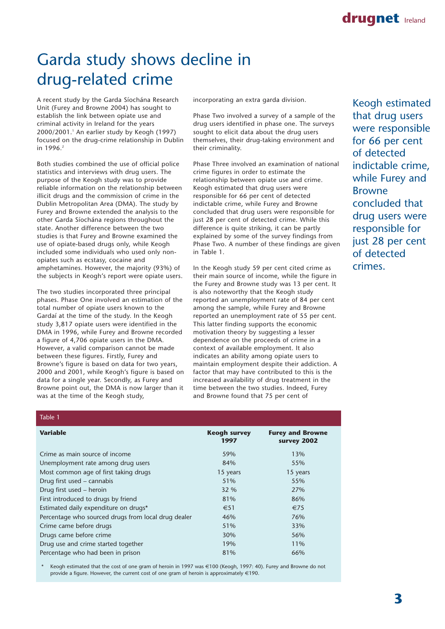# Garda study shows decline in drug-related crime

A recent study by the Garda Síochána Research Unit (Furey and Browne 2004) has sought to establish the link between opiate use and criminal activity in Ireland for the years 2000/2001.1 An earlier study by Keogh (1997) focused on the drug-crime relationship in Dublin in 1996.<sup>2</sup>

Both studies combined the use of official police statistics and interviews with drug users. The purpose of the Keogh study was to provide reliable information on the relationship between illicit drugs and the commission of crime in the Dublin Metropolitan Area (DMA). The study by Furey and Browne extended the analysis to the other Garda Síochána regions throughout the state. Another difference between the two studies is that Furey and Browne examined the use of opiate-based drugs only, while Keogh included some individuals who used only nonopiates such as ecstasy, cocaine and amphetamines. However, the majority (93%) of the subjects in Keogh's report were opiate users.

The two studies incorporated three principal phases. Phase One involved an estimation of the total number of opiate users known to the Gardaí at the time of the study. In the Keogh study 3,817 opiate users were identified in the DMA in 1996, while Furey and Browne recorded a figure of 4,706 opiate users in the DMA. However, a valid comparison cannot be made between these figures. Firstly, Furey and Browne's figure is based on data for two years, 2000 and 2001, while Keogh's figure is based on data for a single year. Secondly, as Furey and Browne point out, the DMA is now larger than it was at the time of the Keogh study,

Table 1

incorporating an extra garda division.

Phase Two involved a survey of a sample of the drug users identified in phase one. The surveys sought to elicit data about the drug users themselves, their drug-taking environment and their criminality.

Phase Three involved an examination of national crime figures in order to estimate the relationship between opiate use and crime. Keogh estimated that drug users were responsible for 66 per cent of detected indictable crime, while Furey and Browne concluded that drug users were responsible for just 28 per cent of detected crime. While this difference is quite striking, it can be partly explained by some of the survey findings from Phase Two. A number of these findings are given in Table 1.

In the Keogh study 59 per cent cited crime as their main source of income, while the figure in the Furey and Browne study was 13 per cent. It is also noteworthy that the Keogh study reported an unemployment rate of 84 per cent among the sample, while Furey and Browne reported an unemployment rate of 55 per cent. This latter finding supports the economic motivation theory by suggesting a lesser dependence on the proceeds of crime in a context of available employment. It also indicates an ability among opiate users to maintain employment despite their addiction. A factor that may have contributed to this is the increased availability of drug treatment in the time between the two studies. Indeed, Furey and Browne found that 75 per cent of

Keogh estimated that drug users were responsible for 66 per cent of detected indictable crime, while Furey and Browne concluded that drug users were responsible for just 28 per cent of detected crimes.

| <b>Keogh survey</b><br>1997 | <b>Furey and Browne</b><br>survey 2002 |
|-----------------------------|----------------------------------------|
| 59%                         | 13%                                    |
| 84%                         | 55%                                    |
| 15 years                    | 15 years                               |
| 51%                         | 55%                                    |
| 32 %                        | 27%                                    |
| 81%                         | 86%                                    |
| €51                         | €75                                    |
| 46%                         | 76%                                    |
| 51%                         | 33%                                    |
| 30%                         | 56%                                    |
| 19%                         | 11%                                    |
| 81%                         | 66%                                    |
|                             |                                        |

Keogh estimated that the cost of one gram of heroin in 1997 was €100 (Keogh, 1997: 40). Furey and Browne do not provide a figure. However, the current cost of one gram of heroin is approximately  $\in$ 190.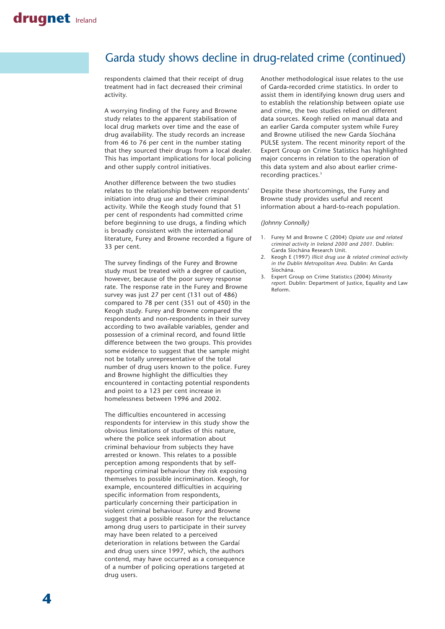### Garda study shows decline in drug-related crime (continued)

respondents claimed that their receipt of drug treatment had in fact decreased their criminal activity.

A worrying finding of the Furey and Browne study relates to the apparent stabilisation of local drug markets over time and the ease of drug availability. The study records an increase from 46 to 76 per cent in the number stating that they sourced their drugs from a local dealer. This has important implications for local policing and other supply control initiatives.

Another difference between the two studies relates to the relationship between respondents' initiation into drug use and their criminal activity. While the Keogh study found that 51 per cent of respondents had committed crime before beginning to use drugs, a finding which is broadly consistent with the international literature, Furey and Browne recorded a figure of 33 per cent.

The survey findings of the Furey and Browne study must be treated with a degree of caution, however, because of the poor survey response rate. The response rate in the Furey and Browne survey was just 27 per cent (131 out of 486) compared to 78 per cent (351 out of 450) in the Keogh study. Furey and Browne compared the respondents and non-respondents in their survey according to two available variables, gender and possession of a criminal record, and found little difference between the two groups. This provides some evidence to suggest that the sample might not be totally unrepresentative of the total number of drug users known to the police. Furey and Browne highlight the difficulties they encountered in contacting potential respondents and point to a 123 per cent increase in homelessness between 1996 and 2002.

The difficulties encountered in accessing respondents for interview in this study show the obvious limitations of studies of this nature, where the police seek information about criminal behaviour from subjects they have arrested or known. This relates to a possible perception among respondents that by selfreporting criminal behaviour they risk exposing themselves to possible incrimination. Keogh, for example, encountered difficulties in acquiring specific information from respondents, particularly concerning their participation in violent criminal behaviour. Furey and Browne suggest that a possible reason for the reluctance among drug users to participate in their survey may have been related to a perceived deterioration in relations between the Gardaí and drug users since 1997, which, the authors contend, may have occurred as a consequence of a number of policing operations targeted at drug users.

Another methodological issue relates to the use of Garda-recorded crime statistics. In order to assist them in identifying known drug users and to establish the relationship between opiate use and crime, the two studies relied on different data sources. Keogh relied on manual data and an earlier Garda computer system while Furey and Browne utilised the new Garda Síochána PULSE system. The recent minority report of the Expert Group on Crime Statistics has highlighted major concerns in relation to the operation of this data system and also about earlier crimerecording practices.3

Despite these shortcomings, the Furey and Browne study provides useful and recent information about a hard-to-reach population.

#### *(Johnny Connolly)*

- 1. Furey M and Browne C (2004) *Opiate use and related criminal activity in Ireland 2000 and 2001.* Dublin: Garda Síochána Research Unit.
- 2. Keogh E (1997) *Illicit drug use & related criminal activity in the Dublin Metropolitan Area.* Dublin: An Garda Síochána.
- 3. Expert Group on Crime Statistics (2004) *Minority report.* Dublin: Department of Justice, Equality and Law Reform.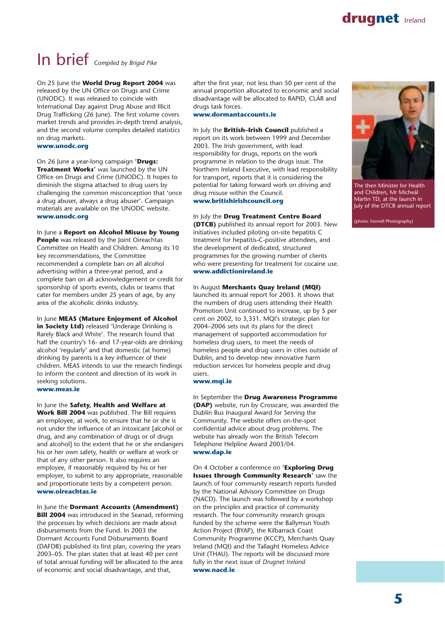

# In brief *Compiled by Brigid Pike*

On 25 June the **World Drug Report 2004** was released by the UN Office on Drugs and Crime (UNODC). It was released to coincide with International Day against Drug Abuse and Illicit Drug Trafficking (26 June). The first volume covers market trends and provides in-depth trend analysis, and the second volume compiles detailed statistics on drug markets.

**www.unodc.org**

On 26 June a year-long campaign **'Drugs: Treatment Works'** was launched by the UN Office on Drugs and Crime (UNODC). It hopes to diminish the stigma attached to drug users by challenging the common misconception that 'once a drug abuser, always a drug abuser'. Campaign materials are available on the UNODC website. **www.unodc.org**

#### In June a **Report on Alcohol Misuse by Young**

**People** was released by the Joint Oireachtas Committee on Health and Children. Among its 10 key recommendations, the Committee recommended a complete ban on all alcohol advertising within a three-year period, and a complete ban on all acknowledgement or credit for sponsorship of sports events, clubs or teams that cater for members under 25 years of age, by any area of the alcoholic drinks industry.

In June **MEAS (Mature Enjoyment of Alcohol in Society Ltd)** released 'Underage Drinking is Rarely Black and White'. The research found that half the country's 16- and 17-year-olds are drinking alcohol 'regularly' and that domestic (at home) drinking by parents is a key influencer of their children. MEAS intends to use the research findings to inform the content and direction of its work in seeking solutions. **www.meas.ie** 

In June the **Safety, Health and Welfare at Work Bill 2004** was published. The Bill requires an employee, at work, to ensure that he or she is not under the influence of an intoxicant [alcohol or drug, and any combination of drugs or of drugs and alcohol] to the extent that he or she endangers his or her own safety, health or welfare at work or that of any other person. It also requires an employee, if reasonably required by his or her employer, to submit to any appropriate, reasonable and proportionate tests by a competent person. **www.oireachtas.ie**

In June the **Dormant Accounts (Amendment)**

**Bill 2004** was introduced in the Seanad, reforming the processes by which decisions are made about disbursements from the Fund. In 2003 the Dormant Accounts Fund Disbursements Board (DAFDB) published its first plan, covering the years 2003–05. The plan states that at least 40 per cent of total annual funding will be allocated to the area of economic and social disadvantage, and that,

after the first year, not less than 50 per cent of the annual proportion allocated to economic and social disadvantage will be allocated to RAPID, CLÁR and drugs task forces.

**www.dormantaccounts.ie**

#### In July the **British–Irish Council** published a

report on its work between 1999 and December 2003. The Irish government, with lead responsibility for drugs, reports on the work programme in relation to the drugs issue. The Northern Ireland Executive, with lead responsibility for transport, reports that it is considering the potential for taking forward work on driving and drug misuse within the Council. **www.britishirishcouncil.org**

#### In July the **Drug Treatment Centre Board**

**(DTCB)** published its annual report for 2003. New initiatives included piloting on-site hepatitis C treatment for hepatitis-C-positive attendees, and the development of dedicated, structured programmes for the growing number of clients who were presenting for treatment for cocaine use. **www.addictionireland.ie**

#### In August **Merchants Quay Ireland (MQI)**

launched its annual report for 2003. It shows that the numbers of drug users attending their Health Promotion Unit continued to increase, up by 5 per cent on 2002, to 3,331. MQI's strategic plan for 2004–2006 sets out its plans for the direct management of supported accommodation for homeless drug users, to meet the needs of homeless people and drug users in cities outside of Dublin, and to develop new innovative harm reduction services for homeless people and drug users.

#### **www.mqi.ie**

In September the **Drug Awareness Programme (DAP)** website, run by Crosscare, was awarded the Dublin Bus Inaugural Award for Serving the Community. The website offers on-the-spot confidential advice about drug problems. The website has already won the British Telecom Telephone Helpline Award 2003/04. **www.dap.ie**

On 4 October a conference on **'Exploring Drug Issues through Community Research'** saw the launch of four community research reports funded by the National Advisory Committee on Drugs (NACD). The launch was followed by a workshop on the principles and practice of community research. The four community research groups funded by the scheme were the Ballymun Youth Action Project (BYAP), the Kilbarrack Coast Community Programme (KCCP), Merchants Quay Ireland (MQI) and the Tallaght Homeless Advice Unit (THAU). The reports will be discussed more fully in the next issue of *Drugnet Ireland.* **www.nacd.ie**



The then Minister for Health and Children, Mr Micheál Martin TD, at the launch in July of the DTCB annual report

(photo: Fennell Photography)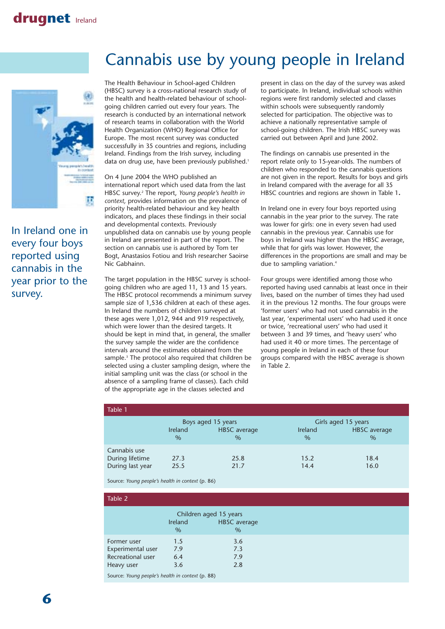

In Ireland one in every four boys reported using cannabis in the year prior to the survey.

# Cannabis use by young people in Ireland

The Health Behaviour in School-aged Children (HBSC) survey is a cross-national research study of the health and health-related behaviour of schoolgoing children carried out every four years. The research is conducted by an international network of research teams in collaboration with the World Health Organization (WHO) Regional Office for Europe. The most recent survey was conducted successfully in 35 countries and regions, including Ireland. Findings from the Irish survey, including data on drug use, have been previously published.<sup>1</sup>

On 4 June 2004 the WHO published an international report which used data from the last HBSC survey.2 The report, *Young people's health in context,* provides information on the prevalence of priority health-related behaviour and key health indicators, and places these findings in their social and developmental contexts. Previously unpublished data on cannabis use by young people in Ireland are presented in part of the report. The section on cannabis use is authored by Tom ter Bogt, Anastasios Fotiou and Irish researcher Saoirse Nic Gabhainn.

The target population in the HBSC survey is schoolgoing children who are aged 11, 13 and 15 years. The HBSC protocol recommends a minimum survey sample size of 1,536 children at each of these ages. In Ireland the numbers of children surveyed at these ages were 1,012, 944 and 919 respectively, which were lower than the desired targets. It should be kept in mind that, in general, the smaller the survey sample the wider are the confidence intervals around the estimates obtained from the sample.<sup>3</sup> The protocol also required that children be selected using a cluster sampling design, where the initial sampling unit was the class (or school in the absence of a sampling frame of classes). Each child of the appropriate age in the classes selected and

present in class on the day of the survey was asked to participate. In Ireland, individual schools within regions were first randomly selected and classes within schools were subsequently randomly selected for participation. The objective was to achieve a nationally representative sample of school-going children. The Irish HBSC survey was carried out between April and June 2002.

The findings on cannabis use presented in the report relate only to 15-year-olds. The numbers of children who responded to the cannabis questions are not given in the report. Results for boys and girls in Ireland compared with the average for all 35 HBSC countries and regions are shown in Table 1**.**

In Ireland one in every four boys reported using cannabis in the year prior to the survey. The rate was lower for girls: one in every seven had used cannabis in the previous year. Cannabis use for boys in Ireland was higher than the HBSC average, while that for girls was lower. However, the differences in the proportions are small and may be due to sampling variation.<sup>4</sup>

Four groups were identified among those who reported having used cannabis at least once in their lives, based on the number of times they had used it in the previous 12 months. The four groups were 'former users' who had not used cannabis in the last year, 'experimental users' who had used it once or twice, 'recreational users' who had used it between 3 and 39 times, and 'heavy users' who had used it 40 or more times. The percentage of young people in Ireland in each of these four groups compared with the HBSC average is shown in Table 2.

| Table 1          |                |                     |                     |                     |
|------------------|----------------|---------------------|---------------------|---------------------|
|                  |                | Boys aged 15 years  | Girls aged 15 years |                     |
|                  | <b>Ireland</b> | <b>HBSC</b> average | <b>Ireland</b>      | <b>HBSC</b> average |
|                  | $\%$           | $\%$                | $\%$                | $\%$                |
| Cannabis use     |                |                     |                     |                     |
| During lifetime  | 27.3           | 25.8                | 15.2                | 18.4                |
| During last year | 25.5           | 21.7                | 14.4                | 16.0                |

Source: *Young people's health in context* (p. 86)

| Table 2                                                        |                   |                                                       |
|----------------------------------------------------------------|-------------------|-------------------------------------------------------|
|                                                                | Ireland<br>$\%$   | Children aged 15 years<br><b>HBSC</b> average<br>$\%$ |
| Former user<br>Experimental user<br>Recreational user          | 1.5<br>7.9<br>6.4 | 3.6<br>7.3<br>7.9                                     |
| Heavy user<br>Source: Young people's health in context (p. 88) | 3.6               | 2.8                                                   |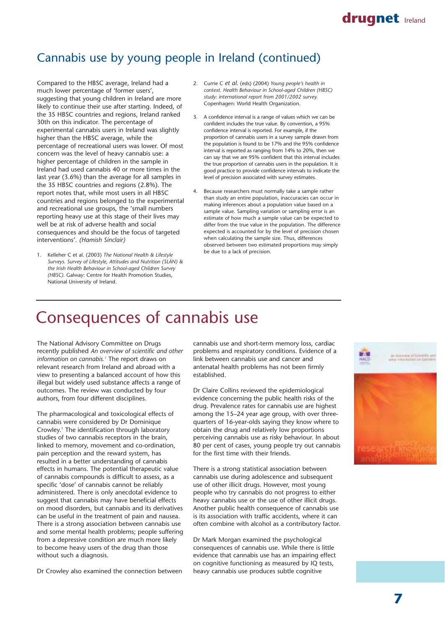# Cannabis use by young people in Ireland (continued)

Compared to the HBSC average, Ireland had a much lower percentage of 'former users', suggesting that young children in Ireland are more likely to continue their use after starting. Indeed, of the 35 HBSC countries and regions, Ireland ranked 30th on this indicator. The percentage of experimental cannabis users in Ireland was slightly higher than the HBSC average, while the percentage of recreational users was lower. Of most concern was the level of heavy cannabis use: a higher percentage of children in the sample in Ireland had used cannabis 40 or more times in the last year (3.6%) than the average for all samples in the 35 HBSC countries and regions (2.8%). The report notes that, while most users in all HBSC countries and regions belonged to the experimental and recreational use groups, the 'small numbers reporting heavy use at this stage of their lives may well be at risk of adverse health and social consequences and should be the focus of targeted interventions'. *(Hamish Sinclair)*

1. Kelleher C et al. (2003) *The National Health & Lifestyle Surveys. Survey of Lifestyle, Attitudes and Nutrition (SLÁN) & the Irish Health Behaviour in School-aged Children Survey (HBSC).* Galway: Centre for Health Promotion Studies, National University of Ireland.

- 2. Currie C *et al.* (eds) (2004) *Young people's health in context. Health Behaviour in School-aged Children (HBSC) study: international report from 2001/2002 survey.* Copenhagen: World Health Organization.
- 3. A confidence interval is a range of values which we can be confident includes the true value. By convention, a 95% confidence interval is reported. For example, if the proportion of cannabis users in a survey sample drawn from the population is found to be 17% and the 95% confidence interval is reported as ranging from 14% to 20%, then we can say that we are 95% confident that this interval includes the true proportion of cannabis users in the population. It is good practice to provide confidence intervals to indicate the level of precision associated with survey estimates.
- 4. Because researchers must normally take a sample rather than study an entire population, inaccuracies can occur in making inferences about a population value based on a sample value. Sampling variation or sampling error is an estimate of how much a sample value can be expected to differ from the true value in the population. The difference expected is accounted for by the level of precision chosen when calculating the sample size. Thus, differences observed between two estimated proportions may simply be due to a lack of precision.

# Consequences of cannabis use

The National Advisory Committee on Drugs recently published *An overview of scientific and other information on cannabis.1* The report draws on relevant research from Ireland and abroad with a view to presenting a balanced account of how this illegal but widely used substance affects a range of outcomes. The review was conducted by four authors, from four different disciplines.

The pharmacological and toxicological effects of cannabis were considered by Dr Dominique Crowley.1 The identification through laboratory studies of two cannabis receptors in the brain, linked to memory, movement and co-ordination, pain perception and the reward system, has resulted in a better understanding of cannabis effects in humans. The potential therapeutic value of cannabis compounds is difficult to assess, as a specific 'dose' of cannabis cannot be reliably administered. There is only anecdotal evidence to suggest that cannabis may have beneficial effects on mood disorders, but cannabis and its derivatives can be useful in the treatment of pain and nausea. There is a strong association between cannabis use and some mental health problems; people suffering from a depressive condition are much more likely to become heavy users of the drug than those without such a diagnosis.

Dr Crowley also examined the connection between

cannabis use and short-term memory loss, cardiac problems and respiratory conditions. Evidence of a link between cannabis use and cancer and antenatal health problems has not been firmly established.

Dr Claire Collins reviewed the epidemiological evidence concerning the public health risks of the drug. Prevalence rates for cannabis use are highest among the 15–24 year age group, with over threequarters of 16-year-olds saying they know where to obtain the drug and relatively low proportions perceiving cannabis use as risky behaviour. In about 80 per cent of cases, young people try out cannabis for the first time with their friends.

There is a strong statistical association between cannabis use during adolescence and subsequent use of other illicit drugs. However, most young people who try cannabis do not progress to either heavy cannabis use or the use of other illicit drugs. Another public health consequence of cannabis use is its association with traffic accidents, where it can often combine with alcohol as a contributory factor.

Dr Mark Morgan examined the psychological consequences of cannabis use. While there is little evidence that cannabis use has an impairing effect on cognitive functioning as measured by IQ tests, heavy cannabis use produces subtle cognitive



drugnet **Ireland**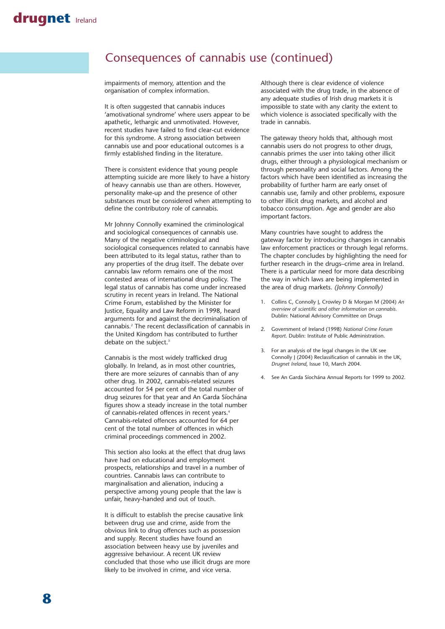### Consequences of cannabis use (continued)

impairments of memory, attention and the organisation of complex information.

It is often suggested that cannabis induces 'amotivational syndrome' where users appear to be apathetic, lethargic and unmotivated. However, recent studies have failed to find clear-cut evidence for this syndrome. A strong association between cannabis use and poor educational outcomes is a firmly established finding in the literature.

There is consistent evidence that young people attempting suicide are more likely to have a history of heavy cannabis use than are others. However, personality make-up and the presence of other substances must be considered when attempting to define the contributory role of cannabis.

Mr Johnny Connolly examined the criminological and sociological consequences of cannabis use. Many of the negative criminological and sociological consequences related to cannabis have been attributed to its legal status, rather than to any properties of the drug itself. The debate over cannabis law reform remains one of the most contested areas of international drug policy. The legal status of cannabis has come under increased scrutiny in recent years in Ireland. The National Crime Forum, established by the Minister for Justice, Equality and Law Reform in 1998, heard arguments for and against the decriminalisation of cannabis.2 The recent declassification of cannabis in the United Kingdom has contributed to further debate on the subject.<sup>3</sup>

Cannabis is the most widely trafficked drug globally. In Ireland, as in most other countries, there are more seizures of cannabis than of any other drug. In 2002, cannabis-related seizures accounted for 54 per cent of the total number of drug seizures for that year and An Garda Síochána figures show a steady increase in the total number of cannabis-related offences in recent years.4 Cannabis-related offences accounted for 64 per cent of the total number of offences in which criminal proceedings commenced in 2002.

This section also looks at the effect that drug laws have had on educational and employment prospects, relationships and travel in a number of countries. Cannabis laws can contribute to marginalisation and alienation, inducing a perspective among young people that the law is unfair, heavy-handed and out of touch.

It is difficult to establish the precise causative link between drug use and crime, aside from the obvious link to drug offences such as possession and supply. Recent studies have found an association between heavy use by juveniles and aggressive behaviour. A recent UK review concluded that those who use illicit drugs are more likely to be involved in crime, and vice versa.

Although there is clear evidence of violence associated with the drug trade, in the absence of any adequate studies of Irish drug markets it is impossible to state with any clarity the extent to which violence is associated specifically with the trade in cannabis.

The gateway theory holds that, although most cannabis users do not progress to other drugs, cannabis primes the user into taking other illicit drugs, either through a physiological mechanism or through personality and social factors. Among the factors which have been identified as increasing the probability of further harm are early onset of cannabis use, family and other problems, exposure to other illicit drug markets, and alcohol and tobacco consumption. Age and gender are also important factors.

Many countries have sought to address the gateway factor by introducing changes in cannabis law enforcement practices or through legal reforms. The chapter concludes by highlighting the need for further research in the drugs–crime area in Ireland. There is a particular need for more data describing the way in which laws are being implemented in the area of drug markets. *(Johnny Connolly)*

- 1. Collins C, Connolly J, Crowley D & Morgan M (2004) *An overview of scientific and other information on cannabis.* Dublin: National Advisory Committee on Drugs
- 2. Government of Ireland (1998) *National Crime Forum Report*. Dublin: Institute of Public Administration.
- 3. For an analysis of the legal changes in the UK see Connolly J (2004) Reclassification of cannabis in the UK, *Drugnet Ireland*, Issue 10, March 2004.
- 4. See An Garda Síochána Annual Reports for 1999 to 2002.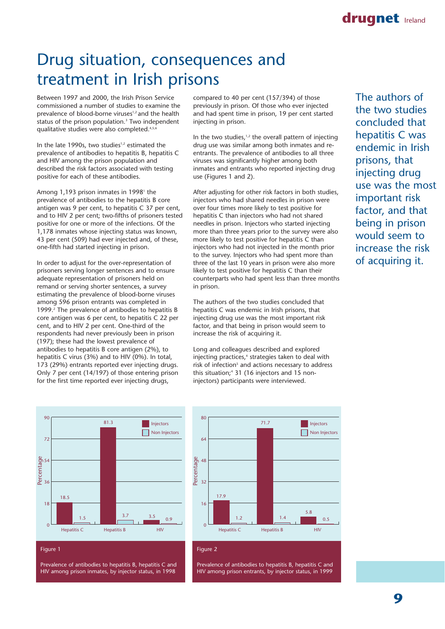# Drug situation, consequences and treatment in Irish prisons

Between 1997 and 2000, the Irish Prison Service commissioned a number of studies to examine the prevalence of blood-borne viruses<sup>1,2</sup> and the health status of the prison population.<sup>3</sup> Two independent qualitative studies were also completed.4,5,6

In the late 1990s, two studies<sup>1,2</sup> estimated the prevalence of antibodies to hepatitis B, hepatitis C and HIV among the prison population and described the risk factors associated with testing positive for each of these antibodies.

Among 1,193 prison inmates in 1998<sup>1</sup> the prevalence of antibodies to the hepatitis B core antigen was 9 per cent, to hepatitis C 37 per cent, and to HIV 2 per cent; two-fifths of prisoners tested positive for one or more of the infections. Of the 1,178 inmates whose injecting status was known, 43 per cent (509) had ever injected and, of these, one-fifth had started injecting in prison.

In order to adjust for the over-representation of prisoners serving longer sentences and to ensure adequate representation of prisoners held on remand or serving shorter sentences, a survey estimating the prevalence of blood-borne viruses among 596 prison entrants was completed in 1999.<sup>2</sup> The prevalence of antibodies to hepatitis B core antigen was 6 per cent, to hepatitis C 22 per cent, and to HIV 2 per cent. One-third of the respondents had never previously been in prison (197); these had the lowest prevalence of antibodies to hepatitis B core antigen (2%), to hepatitis C virus (3%) and to HIV (0%). In total, 173 (29%) entrants reported ever injecting drugs. Only 7 per cent (14/197) of those entering prison for the first time reported ever injecting drugs,



Figure 1

Prevalence of antibodies to hepatitis B, hepatitis C and HIV among prison inmates, by injector status, in 1998

compared to 40 per cent (157/394) of those previously in prison. Of those who ever injected and had spent time in prison, 19 per cent started injecting in prison.

In the two studies, $1,2$  the overall pattern of injecting drug use was similar among both inmates and reentrants. The prevalence of antibodies to all three viruses was significantly higher among both inmates and entrants who reported injecting drug use (Figures 1 and 2).

After adjusting for other risk factors in both studies, injectors who had shared needles in prison were over four times more likely to test positive for hepatitis C than injectors who had not shared needles in prison. Injectors who started injecting more than three years prior to the survey were also more likely to test positive for hepatitis C than injectors who had not injected in the month prior to the survey. Injectors who had spent more than three of the last 10 years in prison were also more likely to test positive for hepatitis C than their counterparts who had spent less than three months in prison.

The authors of the two studies concluded that hepatitis C was endemic in Irish prisons, that injecting drug use was the most important risk factor, and that being in prison would seem to increase the risk of acquiring it.

Long and colleagues described and explored injecting practices,<sup>4</sup> strategies taken to deal with risk of infection<sup>5</sup> and actions necessary to address this situation;<sup>4</sup> 31 (16 injectors and 15 noninjectors) participants were interviewed.

The authors of the two studies concluded that hepatitis C was endemic in Irish prisons, that injecting drug use was the most important risk factor, and that being in prison would seem to increase the risk of acquiring it.



#### Figure 2

Prevalence of antibodies to hepatitis B, hepatitis C and HIV among prison entrants, by injector status, in 1999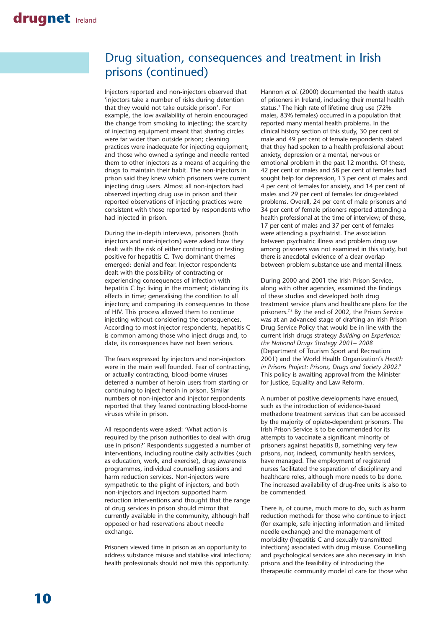### Drug situation, consequences and treatment in Irish prisons (continued)

Injectors reported and non-injectors observed that 'injectors take a number of risks during detention that they would not take outside prison'. For example, the low availability of heroin encouraged the change from smoking to injecting; the scarcity of injecting equipment meant that sharing circles were far wider than outside prison; cleaning practices were inadequate for injecting equipment; and those who owned a syringe and needle rented them to other injectors as a means of acquiring the drugs to maintain their habit. The non-injectors in prison said they knew which prisoners were current injecting drug users. Almost all non-injectors had observed injecting drug use in prison and their reported observations of injecting practices were consistent with those reported by respondents who had injected in prison.

During the in-depth interviews, prisoners (both injectors and non-injectors) were asked how they dealt with the risk of either contracting or testing positive for hepatitis C. Two dominant themes emerged: denial and fear. Injector respondents dealt with the possibility of contracting or experiencing consequences of infection with hepatitis C by: living in the moment; distancing its effects in time; generalising the condition to all injectors; and comparing its consequences to those of HIV. This process allowed them to continue injecting without considering the consequences. According to most injector respondents, hepatitis C is common among those who inject drugs and, to date, its consequences have not been serious.

The fears expressed by injectors and non-injectors were in the main well founded. Fear of contracting, or actually contracting, blood-borne viruses deterred a number of heroin users from starting or continuing to inject heroin in prison. Similar numbers of non-injector and injector respondents reported that they feared contracting blood-borne viruses while in prison.

All respondents were asked: 'What action is required by the prison authorities to deal with drug use in prison?' Respondents suggested a number of interventions, including routine daily activities (such as education, work, and exercise), drug awareness programmes, individual counselling sessions and harm reduction services. Non-injectors were sympathetic to the plight of injectors, and both non-injectors and injectors supported harm reduction interventions and thought that the range of drug services in prison should mirror that currently available in the community, although half opposed or had reservations about needle exchange.

Prisoners viewed time in prison as an opportunity to address substance misuse and stabilise viral infections; health professionals should not miss this opportunity.

Hannon *et al.* (2000) documented the health status of prisoners in Ireland, including their mental health status.<sup>3</sup> The high rate of lifetime drug use (72% males, 83% females) occurred in a population that reported many mental health problems. In the clinical history section of this study, 30 per cent of male and 49 per cent of female respondents stated that they had spoken to a health professional about anxiety, depression or a mental, nervous or emotional problem in the past 12 months. Of these, 42 per cent of males and 58 per cent of females had sought help for depression, 13 per cent of males and 4 per cent of females for anxiety, and 14 per cent of males and 29 per cent of females for drug-related problems. Overall, 24 per cent of male prisoners and 34 per cent of female prisoners reported attending a health professional at the time of interview; of these, 17 per cent of males and 37 per cent of females were attending a psychiatrist. The association between psychiatric illness and problem drug use among prisoners was not examined in this study, but there is anecdotal evidence of a clear overlap between problem substance use and mental illness.

During 2000 and 2001 the Irish Prison Service, along with other agencies, examined the findings of these studies and developed both drug treatment service plans and healthcare plans for the prisoners.7,8 By the end of 2002, the Prison Service was at an advanced stage of drafting an Irish Prison Drug Service Policy that would be in line with the current Irish drugs strategy *Building on Experience: the National Drugs Strategy 2001– 2008* (Department of Tourism Sport and Recreation 2001) and the World Health Organization's *Health in Prisons Project: Prisons, Drugs and Society 2002.*<sup>9</sup> This policy is awaiting approval from the Minister for Justice, Equality and Law Reform.

A number of positive developments have ensued, such as the introduction of evidence-based methadone treatment services that can be accessed by the majority of opiate-dependent prisoners. The Irish Prison Service is to be commended for its attempts to vaccinate a significant minority of prisoners against hepatitis B, something very few prisons, nor, indeed, community health services, have managed. The employment of registered nurses facilitated the separation of disciplinary and healthcare roles, although more needs to be done. The increased availability of drug-free units is also to be commended.

There is, of course, much more to do, such as harm reduction methods for those who continue to inject (for example, safe injecting information and limited needle exchange) and the management of morbidity (hepatitis C and sexually transmitted infections) associated with drug misuse. Counselling and psychological services are also necessary in Irish prisons and the feasibility of introducing the therapeutic community model of care for those who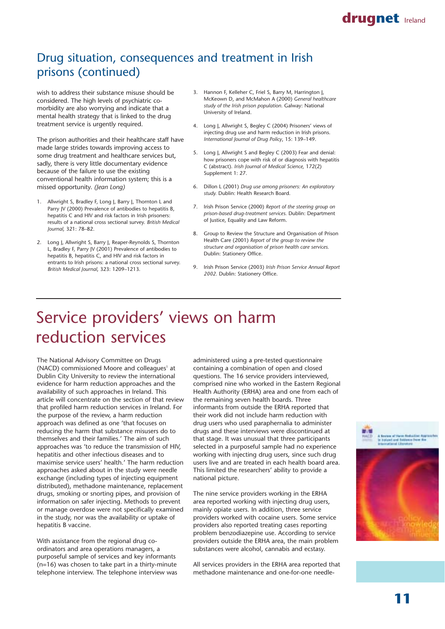### drugnet Ireland

# Drug situation, consequences and treatment in Irish prisons (continued)

wish to address their substance misuse should be considered. The high levels of psychiatric comorbidity are also worrying and indicate that a mental health strategy that is linked to the drug treatment service is urgently required.

The prison authorities and their healthcare staff have made large strides towards improving access to some drug treatment and healthcare services but, sadly, there is very little documentary evidence because of the failure to use the existing conventional health information system; this is a missed opportunity. *(Jean Long)*

- 1. Allwright S, Bradley F, Long I, Barry I, Thornton L and Parry JV (2000) Prevalence of antibodies to hepatitis B, hepatitis C and HIV and risk factors in Irish prisoners: results of a national cross sectional survey. *British Medical Journal,* 321: 78–82.
- 2. Long J, Allwright S, Barry J, Reaper-Reynolds S, Thornton L, Bradley F, Parry JV (2001) Prevalence of antibodies to hepatitis B, hepatitis C, and HIV and risk factors in entrants to Irish prisons: a national cross sectional survey. *British Medical Journal*, 323: 1209–1213.
- 3. Hannon F, Kelleher C, Friel S, Barry M, Harrington J, McKeown D, and McMahon A (2000) *General healthcare study of the Irish prison population.* Galway: National University of Ireland.
- 4. Long J, Allwright S, Begley C (2004) Prisoners' views of injecting drug use and harm reduction in Irish prisons. *International Journal of Drug Policy*, 15: 139–149.
- 5. Long J, Allwright S and Begley C (2003) Fear and denial: how prisoners cope with risk of or diagnosis with hepatitis C (abstract). *Irish Journal of Medical Science,* 172(2) Supplement 1: 27.
- 6. Dillon L (2001) *Drug use among prisoners: An exploratory study.* Dublin: Health Research Board.
- 7. Irish Prison Service (2000) *Report of the steering group on prison-based drug-treatment services.* Dublin: Department of Justice, Equality and Law Reform.
- 8. Group to Review the Structure and Organisation of Prison Health Care (2001) *Report of the group to review the structure and organisation of prison health care services.* Dublin: Stationery Office.
- 9. Irish Prison Service (2003) *Irish Prison Service Annual Report 2002.* Dublin: Stationery Office.

# Service providers' views on harm reduction services

The National Advisory Committee on Drugs (NACD) commissioned Moore and colleagues<sup>1</sup> at Dublin City University to review the international evidence for harm reduction approaches and the availability of such approaches in Ireland. This article will concentrate on the section of that review that profiled harm reduction services in Ireland. For the purpose of the review, a harm reduction approach was defined as one 'that focuses on reducing the harm that substance misusers do to themselves and their families.' The aim of such approaches was 'to reduce the transmission of HIV, hepatitis and other infectious diseases and to maximise service users' health.' The harm reduction approaches asked about in the study were needle exchange (including types of injecting equipment distributed), methadone maintenance, replacement drugs, smoking or snorting pipes, and provision of information on safer injecting. Methods to prevent or manage overdose were not specifically examined in the study, nor was the availability or uptake of hepatitis B vaccine.

With assistance from the regional drug coordinators and area operations managers, a purposeful sample of services and key informants (n=16) was chosen to take part in a thirty-minute telephone interview. The telephone interview was administered using a pre-tested questionnaire containing a combination of open and closed questions. The 16 service providers interviewed, comprised nine who worked in the Eastern Regional Health Authority (ERHA) area and one from each of the remaining seven health boards. Three informants from outside the ERHA reported that their work did not include harm reduction with drug users who used paraphernalia to administer drugs and these interviews were discontinued at that stage. It was unusual that three participants selected in a purposeful sample had no experience working with injecting drug users, since such drug users live and are treated in each health board area. This limited the researchers' ability to provide a national picture.

The nine service providers working in the ERHA area reported working with injecting drug users, mainly opiate users. In addition, three service providers worked with cocaine users. Some service providers also reported treating cases reporting problem benzodiazepine use. According to service providers outside the ERHA area, the main problem substances were alcohol, cannabis and ecstasy.

All services providers in the ERHA area reported that methadone maintenance and one-for-one needle-



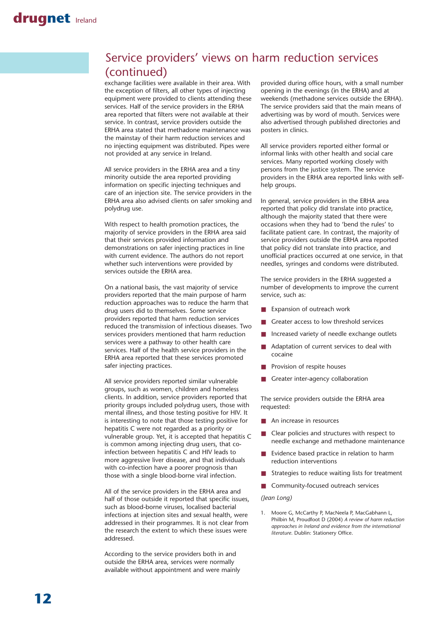### Service providers' views on harm reduction services (continued)

exchange facilities were available in their area. With the exception of filters, all other types of injecting equipment were provided to clients attending these services. Half of the service providers in the ERHA area reported that filters were not available at their service. In contrast, service providers outside the ERHA area stated that methadone maintenance was the mainstay of their harm reduction services and no injecting equipment was distributed. Pipes were not provided at any service in Ireland.

All service providers in the ERHA area and a tiny minority outside the area reported providing information on specific injecting techniques and care of an injection site. The service providers in the ERHA area also advised clients on safer smoking and polydrug use.

With respect to health promotion practices, the majority of service providers in the ERHA area said that their services provided information and demonstrations on safer injecting practices in line with current evidence. The authors do not report whether such interventions were provided by services outside the ERHA area.

On a national basis, the vast majority of service providers reported that the main purpose of harm reduction approaches was to reduce the harm that drug users did to themselves. Some service providers reported that harm reduction services reduced the transmission of infectious diseases. Two services providers mentioned that harm reduction services were a pathway to other health care services. Half of the health service providers in the ERHA area reported that these services promoted safer injecting practices.

All service providers reported similar vulnerable groups, such as women, children and homeless clients. In addition, service providers reported that priority groups included polydrug users, those with mental illness, and those testing positive for HIV. It is interesting to note that those testing positive for hepatitis C were not regarded as a priority or vulnerable group. Yet, it is accepted that hepatitis C is common among injecting drug users, that coinfection between hepatitis C and HIV leads to more aggressive liver disease, and that individuals with co-infection have a poorer prognosis than those with a single blood-borne viral infection.

All of the service providers in the ERHA area and half of those outside it reported that specific issues, such as blood-borne viruses, localised bacterial infections at injection sites and sexual health, were addressed in their programmes. It is not clear from the research the extent to which these issues were addressed.

According to the service providers both in and outside the ERHA area, services were normally available without appointment and were mainly

provided during office hours, with a small number opening in the evenings (in the ERHA) and at weekends (methadone services outside the ERHA). The service providers said that the main means of advertising was by word of mouth. Services were also advertised through published directories and posters in clinics.

All service providers reported either formal or informal links with other health and social care services. Many reported working closely with persons from the justice system. The service providers in the ERHA area reported links with selfhelp groups.

In general, service providers in the ERHA area reported that policy did translate into practice, although the majority stated that there were occasions when they had to 'bend the rules' to facilitate patient care. In contrast, the majority of service providers outside the ERHA area reported that policy did not translate into practice, and unofficial practices occurred at one service, in that needles, syringes and condoms were distributed.

The service providers in the ERHA suggested a number of developments to improve the current service, such as:

- Expansion of outreach work
- Greater access to low threshold services
- Increased variety of needle exchange outlets
- Adaptation of current services to deal with cocaine
- Provision of respite houses
- Greater inter-agency collaboration

The service providers outside the ERHA area requested:

- An increase in resources
- Clear policies and structures with respect to needle exchange and methadone maintenance
- Evidence based practice in relation to harm reduction interventions
- Strategies to reduce waiting lists for treatment
- Community-focused outreach services

*(Jean Long)*

1. Moore G, McCarthy P, MacNeela P, MacGabhann L, Philbin M, Proudfoot D (2004) *A review of harm reduction approaches in Ireland and evidence from the international literature*. Dublin: Stationery Office.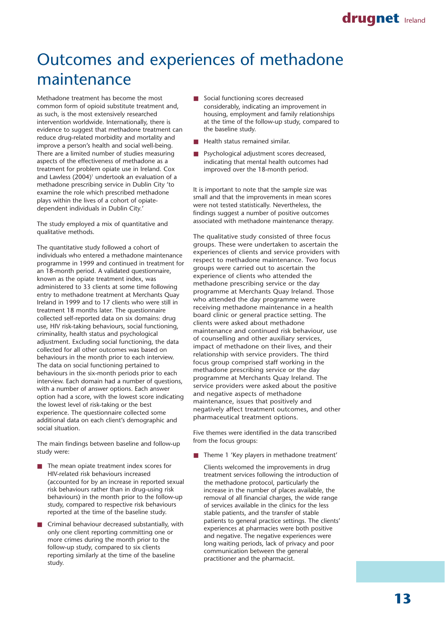# Outcomes and experiences of methadone maintenance

Methadone treatment has become the most common form of opioid substitute treatment and, as such, is the most extensively researched intervention worldwide. Internationally, there is evidence to suggest that methadone treatment can reduce drug-related morbidity and mortality and improve a person's health and social well-being. There are a limited number of studies measuring aspects of the effectiveness of methadone as a treatment for problem opiate use in Ireland. Cox and Lawless (2004)<sup>1</sup> undertook an evaluation of a methadone prescribing service in Dublin City 'to examine the role which prescribed methadone plays within the lives of a cohort of opiatedependent individuals in Dublin City.'

The study employed a mix of quantitative and qualitative methods.

The quantitative study followed a cohort of individuals who entered a methadone maintenance programme in 1999 and continued in treatment for an 18-month period. A validated questionnaire, known as the opiate treatment index, was administered to 33 clients at some time following entry to methadone treatment at Merchants Quay Ireland in 1999 and to 17 clients who were still in treatment 18 months later. The questionnaire collected self-reported data on six domains: drug use, HIV risk-taking behaviours, social functioning, criminality, health status and psychological adjustment. Excluding social functioning, the data collected for all other outcomes was based on behaviours in the month prior to each interview. The data on social functioning pertained to behaviours in the six-month periods prior to each interview. Each domain had a number of questions, with a number of answer options. Each answer option had a score, with the lowest score indicating the lowest level of risk-taking or the best experience. The questionnaire collected some additional data on each client's demographic and social situation.

The main findings between baseline and follow-up study were:

- The mean opiate treatment index scores for HIV-related risk behaviours increased (accounted for by an increase in reported sexual risk behaviours rather than in drug-using risk behaviours) in the month prior to the follow-up study, compared to respective risk behaviours reported at the time of the baseline study.
- Criminal behaviour decreased substantially, with only one client reporting committing one or more crimes during the month prior to the follow-up study, compared to six clients reporting similarly at the time of the baseline study.
- Social functioning scores decreased considerably, indicating an improvement in housing, employment and family relationships at the time of the follow-up study, compared to the baseline study.
- Health status remained similar.
- Psychological adjustment scores decreased, indicating that mental health outcomes had improved over the 18-month period.

It is important to note that the sample size was small and that the improvements in mean scores were not tested statistically. Nevertheless, the findings suggest a number of positive outcomes associated with methadone maintenance therapy.

The qualitative study consisted of three focus groups. These were undertaken to ascertain the experiences of clients and service providers with respect to methadone maintenance. Two focus groups were carried out to ascertain the experience of clients who attended the methadone prescribing service or the day programme at Merchants Quay Ireland. Those who attended the day programme were receiving methadone maintenance in a health board clinic or general practice setting. The clients were asked about methadone maintenance and continued risk behaviour, use of counselling and other auxiliary services, impact of methadone on their lives, and their relationship with service providers. The third focus group comprised staff working in the methadone prescribing service or the day programme at Merchants Quay Ireland. The service providers were asked about the positive and negative aspects of methadone maintenance, issues that positively and negatively affect treatment outcomes, and other pharmaceutical treatment options.

Five themes were identified in the data transcribed from the focus groups:

■ Theme 1 'Key players in methadone treatment'

Clients welcomed the improvements in drug treatment services following the introduction of the methadone protocol, particularly the increase in the number of places available, the removal of all financial charges, the wide range of services available in the clinics for the less stable patients, and the transfer of stable patients to general practice settings. The clients' experiences at pharmacies were both positive and negative. The negative experiences were long waiting periods, lack of privacy and poor communication between the general practitioner and the pharmacist.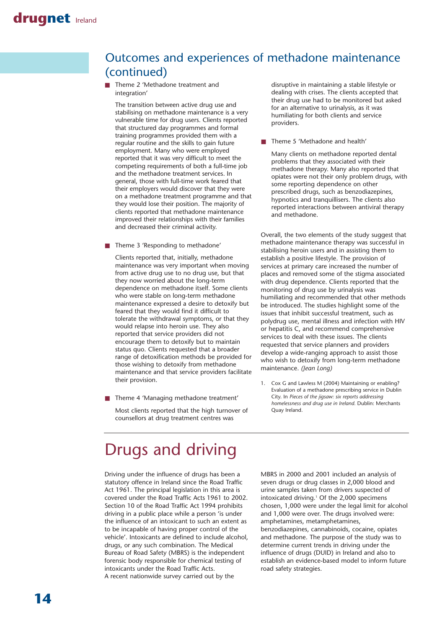### Outcomes and experiences of methadone maintenance (continued)

Theme 2 'Methadone treatment and integration'

The transition between active drug use and stabilising on methadone maintenance is a very vulnerable time for drug users. Clients reported that structured day programmes and formal training programmes provided them with a regular routine and the skills to gain future employment. Many who were employed reported that it was very difficult to meet the competing requirements of both a full-time job and the methadone treatment services. In general, those with full-time work feared that their employers would discover that they were on a methadone treatment programme and that they would lose their position. The majority of clients reported that methadone maintenance improved their relationships with their families and decreased their criminal activity.

■ Theme 3 'Responding to methadone'

Clients reported that, initially, methadone maintenance was very important when moving from active drug use to no drug use, but that they now worried about the long-term dependence on methadone itself. Some clients who were stable on long-term methadone maintenance expressed a desire to detoxify but feared that they would find it difficult to tolerate the withdrawal symptoms, or that they would relapse into heroin use. They also reported that service providers did not encourage them to detoxify but to maintain status quo. Clients requested that a broader range of detoxification methods be provided for those wishing to detoxify from methadone maintenance and that service providers facilitate their provision.

■ Theme 4 'Managing methadone treatment'

Most clients reported that the high turnover of counsellors at drug treatment centres was

disruptive in maintaining a stable lifestyle or dealing with crises. The clients accepted that their drug use had to be monitored but asked for an alternative to urinalysis, as it was humiliating for both clients and service providers.

■ Theme 5 'Methadone and health'

Many clients on methadone reported dental problems that they associated with their methadone therapy. Many also reported that opiates were not their only problem drugs, with some reporting dependence on other prescribed drugs, such as benzodiazepines, hypnotics and tranquillisers. The clients also reported interactions between antiviral therapy and methadone.

Overall, the two elements of the study suggest that methadone maintenance therapy was successful in stabilising heroin users and in assisting them to establish a positive lifestyle. The provision of services at primary care increased the number of places and removed some of the stigma associated with drug dependence. Clients reported that the monitoring of drug use by urinalysis was humiliating and recommended that other methods be introduced. The studies highlight some of the issues that inhibit successful treatment, such as polydrug use, mental illness and infection with HIV or hepatitis C, and recommend comprehensive services to deal with these issues. The clients requested that service planners and providers develop a wide-ranging approach to assist those who wish to detoxify from long-term methadone maintenance. *(Jean Long)*

1. Cox G and Lawless M (2004) Maintaining or enabling? Evaluation of a methadone prescribing service in Dublin City. In *Pieces of the jigsaw: six reports addressing homelessness and drug use in Ireland.* Dublin: Merchants Quay Ireland.

# Drugs and driving

Driving under the influence of drugs has been a statutory offence in Ireland since the Road Traffic Act 1961. The principal legislation in this area is covered under the Road Traffic Acts 1961 to 2002. Section 10 of the Road Traffic Act 1994 prohibits driving in a public place while a person 'is under the influence of an intoxicant to such an extent as to be incapable of having proper control of the vehicle'. Intoxicants are defined to include alcohol, drugs, or any such combination. The Medical Bureau of Road Safety (MBRS) is the independent forensic body responsible for chemical testing of intoxicants under the Road Traffic Acts. A recent nationwide survey carried out by the

MBRS in 2000 and 2001 included an analysis of seven drugs or drug classes in 2,000 blood and urine samples taken from drivers suspected of intoxicated driving.<sup>1</sup> Of the 2,000 specimens chosen, 1,000 were under the legal limit for alcohol and 1,000 were over. The drugs involved were: amphetamines, metamphetamines, benzodiazepines, cannabinoids, cocaine, opiates and methadone. The purpose of the study was to determine current trends in driving under the influence of drugs (DUID) in Ireland and also to establish an evidence-based model to inform future road safety strategies.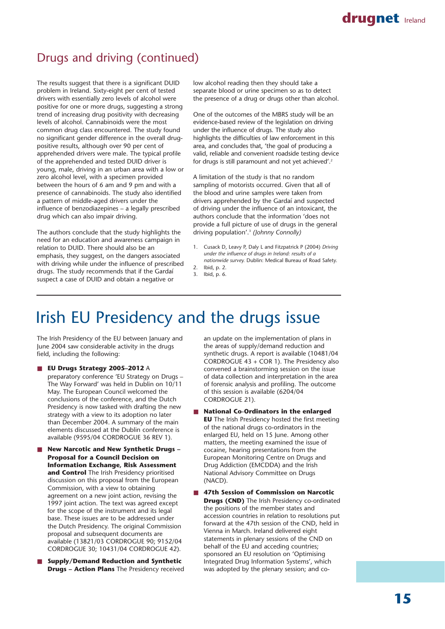

### Drugs and driving (continued)

The results suggest that there is a significant DUID problem in Ireland. Sixty-eight per cent of tested drivers with essentially zero levels of alcohol were positive for one or more drugs, suggesting a strong trend of increasing drug positivity with decreasing levels of alcohol. Cannabinoids were the most common drug class encountered. The study found no significant gender difference in the overall drugpositive results, although over 90 per cent of apprehended drivers were male. The typical profile of the apprehended and tested DUID driver is young, male, driving in an urban area with a low or zero alcohol level, with a specimen provided between the hours of 6 am and 9 pm and with a presence of cannabinoids. The study also identified a pattern of middle-aged drivers under the influence of benzodiazepines – a legally prescribed drug which can also impair driving.

The authors conclude that the study highlights the need for an education and awareness campaign in relation to DUID. There should also be an emphasis, they suggest, on the dangers associated with driving while under the influence of prescribed drugs. The study recommends that if the Gardaí suspect a case of DUID and obtain a negative or

low alcohol reading then they should take a separate blood or urine specimen so as to detect the presence of a drug or drugs other than alcohol.

One of the outcomes of the MBRS study will be an evidence-based review of the legislation on driving under the influence of drugs. The study also highlights the difficulties of law enforcement in this area, and concludes that, 'the goal of producing a valid, reliable and convenient roadside testing device for drugs is still paramount and not yet achieved'.2

A limitation of the study is that no random sampling of motorists occurred. Given that all of the blood and urine samples were taken from drivers apprehended by the Gardaí and suspected of driving under the influence of an intoxicant, the authors conclude that the information 'does not provide a full picture of use of drugs in the general driving population'.3 *(Johnny Connolly)*

- 1. Cusack D, Leavy P, Daly L and Fitzpatrick P (2004) *Driving under the influence of drugs in Ireland: results of a nationwide survey.* Dublin: Medical Bureau of Road Safety. 2. Ibid, p. 2.
- 3. Ibid, p. 6.

# Irish EU Presidency and the drugs issue

The Irish Presidency of the EU between January and June 2004 saw considerable activity in the drugs field, including the following:

- **EU Drugs Strategy 2005-2012** A preparatory conference 'EU Strategy on Drugs – The Way Forward' was held in Dublin on 10/11 May. The European Council welcomed the conclusions of the conference, and the Dutch Presidency is now tasked with drafting the new strategy with a view to its adoption no later than December 2004. A summary of the main elements discussed at the Dublin conference is available (9595/04 CORDROGUE 36 REV 1).
- **New Narcotic and New Synthetic Drugs -Proposal for a Council Decision on Information Exchange, Risk Assessment and Control** The Irish Presidency prioritised discussion on this proposal from the European Commission, with a view to obtaining agreement on a new joint action, revising the 1997 joint action. The text was agreed except for the scope of the instrument and its legal base. These issues are to be addressed under the Dutch Presidency. The original Commission proposal and subsequent documents are available (13821/03 CORDROGUE 90; 9152/04 CORDROGUE 30; 10431/04 CORDROGUE 42).
- **Supply/Demand Reduction and Synthetic Drugs – Action Plans** The Presidency received

an update on the implementation of plans in the areas of supply/demand reduction and synthetic drugs. A report is available (10481/04 CORDROGUE 43 + COR 1). The Presidency also convened a brainstorming session on the issue of data collection and interpretation in the area of forensic analysis and profiling. The outcome of this session is available (6204/04 CORDROGUE 21).

- **National Co-Ordinators in the enlarged EU** The Irish Presidency hosted the first meeting of the national drugs co-ordinators in the enlarged EU, held on 15 June. Among other matters, the meeting examined the issue of cocaine, hearing presentations from the European Monitoring Centre on Drugs and Drug Addiction (EMCDDA) and the Irish National Advisory Committee on Drugs (NACD).
- 47th Session of Commission on Narcotic **Drugs (CND)** The Irish Presidency co-ordinated the positions of the member states and accession countries in relation to resolutions put forward at the 47th session of the CND, held in Vienna in March. Ireland delivered eight statements in plenary sessions of the CND on behalf of the EU and acceding countries; sponsored an EU resolution on 'Optimising Integrated Drug Information Systems', which was adopted by the plenary session; and co-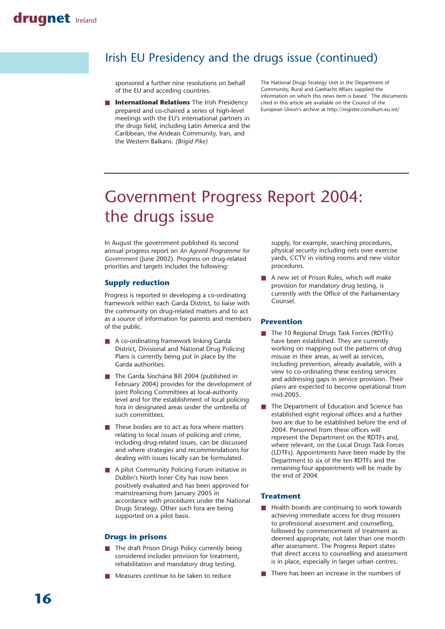### Irish EU Presidency and the drugs issue (continued)

sponsored a further nine resolutions on behalf of the EU and acceding countries.

**International Relations** The Irish Presidency prepared and co-chaired a series of high-level meetings with the EU's international partners in the drugs field, including Latin America and the Caribbean, the Andean Community, Iran, and the Western Balkans. *(Brigid Pike)*

The National Drugs Strategy Unit in the Department of Community, Rural and Gaeltacht Affairs supplied the information on which this news item is based. The documents cited in this article are available on the Council of the European Union's archive at http://register.consilium.eu.int/

# Government Progress Report 2004: the drugs issue

In August the government published its second annual progress report on *An Agreed Programme for Government* (June 2002). Progress on drug-related priorities and targets includes the following:

### **Supply reduction**

Progress is reported in developing a co-ordinating framework within each Garda District, to liaise with the community on drug-related matters and to act as a source of information for parents and members of the public.

- A co-ordinating framework linking Garda District, Divisional and National Drug Policing Plans is currently being put in place by the Garda authorities.
- The Garda Síochána Bill 2004 (published in February 2004) provides for the development of Joint Policing Committees at local-authority level and for the establishment of local policing fora in designated areas under the umbrella of such committees.
- These bodies are to act as fora where matters relating to local issues of policing and crime, including drug-related issues, can be discussed and where strategies and recommendations for dealing with issues locally can be formulated.
- A pilot Community Policing Forum initiative in Dublin's North Inner City has now been positively evaluated and has been approved for mainstreaming from January 2005 in accordance with procedures under the National Drugs Strategy. Other such fora are being supported on a pilot basis.

#### **Drugs in prisons**

- The draft Prison Drugs Policy currently being considered includes provision for treatment, rehabilitation and mandatory drug testing.
- Measures continue to be taken to reduce

supply, for example, searching procedures, physical security including nets over exercise yards, CCTV in visiting rooms and new visitor procedures.

A new set of Prison Rules, which will make provision for mandatory drug testing, is currently with the Office of the Parliamentary Counsel.

#### **Prevention**

- The 10 Regional Drugs Task Forces (RDTFs) have been established. They are currently working on mapping out the patterns of drug misuse in their areas, as well as services, including prevention, already available, with a view to co-ordinating these existing services and addressing gaps in service provision. Their plans are expected to become operational from mid-2005.
- The Department of Education and Science has established eight regional offices and a further two are due to be established before the end of 2004. Personnel from these offices will represent the Department on the RDTFs and, where relevant, on the Local Drugs Task Forces (LDTFs). Appointments have been made by the Department to six of the ten RDTFs and the remaining four appointments will be made by the end of 2004.

### **Treatment**

- Health boards are continuing to work towards achieving immediate access for drug misusers to professional assessment and counselling, followed by commencement of treatment as deemed appropriate, not later than one month after assessment. The Progress Report states that direct access to counselling and assessment is in place, especially in larger urban centres.
- There has been an increase in the numbers of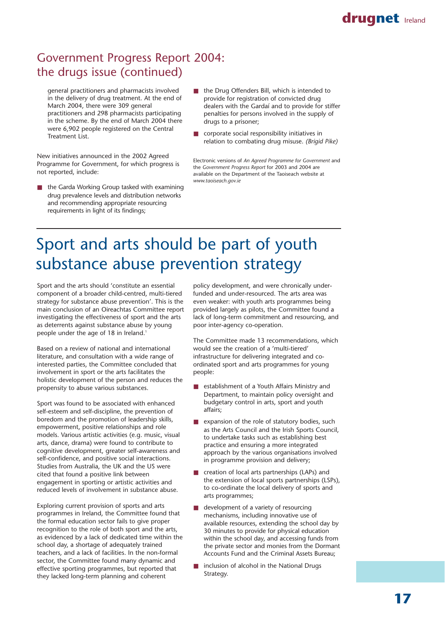# Government Progress Report 2004: the drugs issue (continued)

general practitioners and pharmacists involved in the delivery of drug treatment. At the end of March 2004, there were 309 general practitioners and 298 pharmacists participating in the scheme. By the end of March 2004 there were 6,902 people registered on the Central Treatment List.

New initiatives announced in the 2002 Agreed Programme for Government, for which progress is not reported, include:

- the Garda Working Group tasked with examining drug prevalence levels and distribution networks and recommending appropriate resourcing requirements in light of its findings;
- the Drug Offenders Bill, which is intended to provide for registration of convicted drug dealers with the Gardaí and to provide for stiffer penalties for persons involved in the supply of drugs to a prisoner;
- corporate social responsibility initiatives in relation to combating drug misuse. *(Brigid Pike)*

Electronic versions of *An Agreed Programme for Government* and the *Government Progress Report* for 2003 and 2004 are available on the Department of the Taoiseach website at *www.taoiseach.gov.ie*

# Sport and arts should be part of youth substance abuse prevention strategy

Sport and the arts should 'constitute an essential component of a broader child-centred, multi-tiered strategy for substance abuse prevention'. This is the main conclusion of an Oireachtas Committee report investigating the effectiveness of sport and the arts as deterrents against substance abuse by young people under the age of 18 in Ireland.<sup>1</sup>

Based on a review of national and international literature, and consultation with a wide range of interested parties, the Committee concluded that involvement in sport or the arts facilitates the holistic development of the person and reduces the propensity to abuse various substances.

Sport was found to be associated with enhanced self-esteem and self-discipline, the prevention of boredom and the promotion of leadership skills, empowerment, positive relationships and role models. Various artistic activities (e.g. music, visual arts, dance, drama) were found to contribute to cognitive development, greater self-awareness and self-confidence, and positive social interactions. Studies from Australia, the UK and the US were cited that found a positive link between engagement in sporting or artistic activities and reduced levels of involvement in substance abuse.

Exploring current provision of sports and arts programmes in Ireland, the Committee found that the formal education sector fails to give proper recognition to the role of both sport and the arts, as evidenced by a lack of dedicated time within the school day, a shortage of adequately trained teachers, and a lack of facilities. In the non-formal sector, the Committee found many dynamic and effective sporting programmes, but reported that they lacked long-term planning and coherent

policy development, and were chronically underfunded and under-resourced. The arts area was even weaker: with youth arts programmes being provided largely as pilots, the Committee found a lack of long-term commitment and resourcing, and poor inter-agency co-operation.

The Committee made 13 recommendations, which would see the creation of a 'multi-tiered' infrastructure for delivering integrated and coordinated sport and arts programmes for young people:

- establishment of a Youth Affairs Ministry and Department, to maintain policy oversight and budgetary control in arts, sport and youth affairs;
- expansion of the role of statutory bodies, such as the Arts Council and the Irish Sports Council, to undertake tasks such as establishing best practice and ensuring a more integrated approach by the various organisations involved in programme provision and delivery;
- creation of local arts partnerships (LAPs) and the extension of local sports partnerships (LSPs), to co-ordinate the local delivery of sports and arts programmes;
- development of a variety of resourcing mechanisms, including innovative use of available resources, extending the school day by 30 minutes to provide for physical education within the school day, and accessing funds from the private sector and monies from the Dormant Accounts Fund and the Criminal Assets Bureau;
- inclusion of alcohol in the National Drugs Strategy.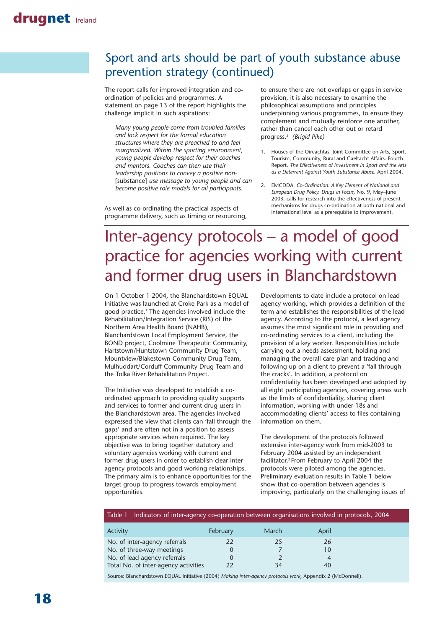# Sport and arts should be part of youth substance abuse prevention strategy (continued)

The report calls for improved integration and coordination of policies and programmes. A statement on page 13 of the report highlights the challenge implicit in such aspirations:

*Many young people come from troubled families and lack respect for the formal education structures where they are preached to and feel marginalized. Within the sporting environment, young people develop respect for their coaches and mentors. Coaches can then use their leadership positions to convey a positive non-* [substance] *use message to young people and can become positive role models for all participants.*

As well as co-ordinating the practical aspects of programme delivery, such as timing or resourcing, to ensure there are not overlaps or gaps in service provision, it is also necessary to examine the philosophical assumptions and principles underpinning various programmes, to ensure they complement and mutually reinforce one another, rather than cancel each other out or retard progress.2 *(Brigid Pike)*

- 1. Houses of the Oireachtas. Joint Committee on Arts, Sport, Tourism, Community, Rural and Gaeltacht Affairs. Fourth Report. *The Effectiveness of Investment in Sport and the Arts as a Deterrent Against Youth Substance Abuse.* April 2004.
- 2. EMCDDA. *Co-Ordination: A Key Element of National and European Drug Policy. Drugs in Focus,* No. 9, May–June 2003, calls for research into the effectiveness of present mechanisms for drugs co-ordination at both national and international level as a prerequisite to improvement.

# Inter-agency protocols – a model of good practice for agencies working with current and former drug users in Blanchardstown

On 1 October 1 2004, the Blanchardstown EQUAL Initiative was launched at Croke Park as a model of good practice.1 The agencies involved include the Rehabilitation/Integration Service (RIS) of the Northern Area Health Board (NAHB), Blanchardstown Local Employment Service, the BOND project, Coolmine Therapeutic Community, Hartstown/Huntstown Community Drug Team, Mountview/Blakestown Community Drug Team, Mulhuddart/Corduff Community Drug Team and the Tolka River Rehabilitation Project.

The Initiative was developed to establish a coordinated approach to providing quality supports and services to former and current drug users in the Blanchardstown area. The agencies involved expressed the view that clients can 'fall through the gaps' and are often not in a position to assess appropriate services when required. The key objective was to bring together statutory and voluntary agencies working with current and former drug users in order to establish clear interagency protocols and good working relationships. The primary aim is to enhance opportunities for the target group to progress towards employment opportunities.

Developments to date include a protocol on lead agency working, which provides a definition of the term and establishes the responsibilities of the lead agency. According to the protocol, a lead agency assumes the most significant role in providing and co-ordinating services to a client, including the provision of a key worker. Responsibilities include carrying out a needs assessment, holding and managing the overall care plan and tracking and following up on a client to prevent a 'fall through the cracks'. In addition, a protocol on confidentiality has been developed and adopted by all eight participating agencies, covering areas such as the limits of confidentiality, sharing client information, working with under-18s and accommodating clients' access to files containing information on them.

The development of the protocols followed extensive inter-agency work from mid-2003 to February 2004 assisted by an independent facilitator.<sup>2</sup> From February to April 2004 the protocols were piloted among the agencies. Preliminary evaluation results in Table 1 below show that co-operation between agencies is improving, particularly on the challenging issues of

| Table 1 Indicators of inter-agency co-operation between organisations involved in protocols, 2004 |          |       |       |  |
|---------------------------------------------------------------------------------------------------|----------|-------|-------|--|
| Activity                                                                                          | February | March | April |  |
| No. of inter-agency referrals                                                                     | 22       | 25    | 26    |  |
| No. of three-way meetings                                                                         |          |       | 10    |  |
| No. of lead agency referrals                                                                      |          |       | 4     |  |
| Total No. of inter-agency activities                                                              |          | 34    | 40    |  |

Source: Blanchardstown EQUAL Initiative (2004) *Making inter-agency protocols work,* Appendix 2 (McDonnell).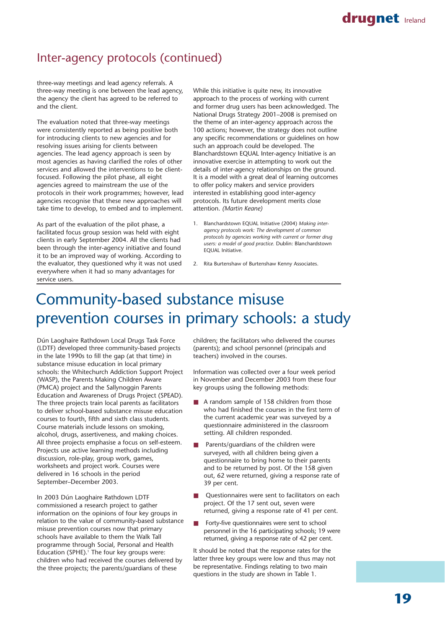## Inter-agency protocols (continued)

three-way meetings and lead agency referrals. A three-way meeting is one between the lead agency, the agency the client has agreed to be referred to and the client.

The evaluation noted that three-way meetings were consistently reported as being positive both for introducing clients to new agencies and for resolving issues arising for clients between agencies. The lead agency approach is seen by most agencies as having clarified the roles of other services and allowed the interventions to be clientfocused. Following the pilot phase, all eight agencies agreed to mainstream the use of the protocols in their work programmes; however, lead agencies recognise that these new approaches will take time to develop, to embed and to implement.

As part of the evaluation of the pilot phase, a facilitated focus group session was held with eight clients in early September 2004. All the clients had been through the inter-agency initiative and found it to be an improved way of working. According to the evaluator, they questioned why it was not used everywhere when it had so many advantages for service users.

While this initiative is quite new, its innovative approach to the process of working with current and former drug users has been acknowledged. The National Drugs Strategy 2001–2008 is premised on the theme of an inter-agency approach across the 100 actions; however, the strategy does not outline any specific recommendations or guidelines on how such an approach could be developed. The Blanchardstown EQUAL Inter-agency Initiative is an innovative exercise in attempting to work out the details of inter-agency relationships on the ground. It is a model with a great deal of learning outcomes to offer policy makers and service providers interested in establishing good inter-agency protocols. Its future development merits close attention. *(Martin Keane)*

- 1. Blanchardstown EQUAL Initiative (2004) *Making interagency protocols work: The development of common protocols by agencies working with current or former drug users: a model of good practice.* Dublin: Blanchardstown EQUAL Initiative.
- 2. Rita Burtenshaw of Burtenshaw Kenny Associates.

# Community-based substance misuse prevention courses in primary schools: a study

Dún Laoghaire Rathdown Local Drugs Task Force (LDTF) developed three community-based projects in the late 1990s to fill the gap (at that time) in substance misuse education in local primary schools: the Whitechurch Addiction Support Project (WASP), the Parents Making Children Aware (PMCA) project and the Sallynoggin Parents Education and Awareness of Drugs Project (SPEAD). The three projects train local parents as facilitators to deliver school-based substance misuse education courses to fourth, fifth and sixth class students. Course materials include lessons on smoking, alcohol, drugs, assertiveness, and making choices. All three projects emphasise a focus on self-esteem. Projects use active learning methods including discussion, role-play, group work, games, worksheets and project work. Courses were delivered in 16 schools in the period September–December 2003.

In 2003 Dún Laoghaire Rathdown LDTF commissioned a research project to gather information on the opinions of four key groups in relation to the value of community-based substance misuse prevention courses now that primary schools have available to them the Walk Tall programme through Social, Personal and Health Education (SPHE).<sup>1</sup> The four key groups were: children who had received the courses delivered by the three projects; the parents/guardians of these

children; the facilitators who delivered the courses (parents); and school personnel (principals and teachers) involved in the courses.

Information was collected over a four week period in November and December 2003 from these four key groups using the following methods:

- A random sample of 158 children from those who had finished the courses in the first term of the current academic year was surveyed by a questionnaire administered in the classroom setting. All children responded.
- Parents/guardians of the children were surveyed, with all children being given a questionnaire to bring home to their parents and to be returned by post. Of the 158 given out, 62 were returned, giving a response rate of 39 per cent.
- Questionnaires were sent to facilitators on each project. Of the 17 sent out, seven were returned, giving a response rate of 41 per cent.
- Forty-five questionnaires were sent to school personnel in the 16 participating schools; 19 were returned, giving a response rate of 42 per cent.

It should be noted that the response rates for the latter three key groups were low and thus may not be representative. Findings relating to two main questions in the study are shown in Table 1.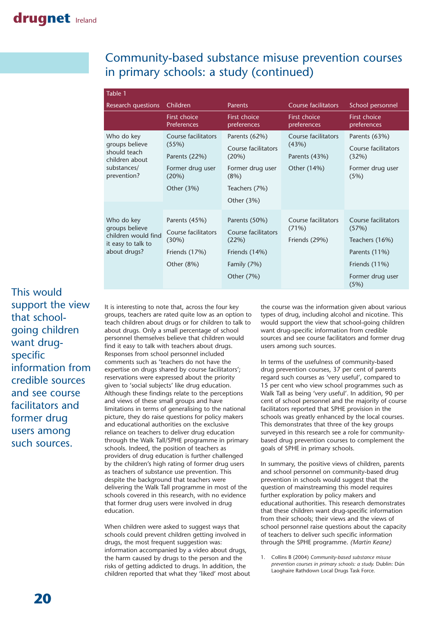### Community-based substance misuse prevention courses in primary schools: a study (continued)

| Table 1                                                                                      |                                                                                          |                                                                                            |                                                              |                                                                           |
|----------------------------------------------------------------------------------------------|------------------------------------------------------------------------------------------|--------------------------------------------------------------------------------------------|--------------------------------------------------------------|---------------------------------------------------------------------------|
| Research questions                                                                           | Children                                                                                 | <b>Parents</b>                                                                             | <b>Course facilitators</b>                                   | School personnel                                                          |
|                                                                                              | <b>First choice</b><br><b>Preferences</b>                                                | <b>First choice</b><br>preferences                                                         | <b>First choice</b><br>preferences                           | <b>First choice</b><br>preferences                                        |
| Who do key<br>groups believe<br>should teach<br>children about<br>substances/<br>prevention? | Course facilitators<br>(55%)<br>Parents (22%)<br>Former drug user<br>(20%)<br>Other (3%) | Parents (62%)<br>Course facilitators<br>(20%)<br>Former drug user<br>(8%)<br>Teachers (7%) | Course facilitators<br>(43%)<br>Parents (43%)<br>Other (14%) | Parents (63%)<br>Course facilitators<br>(32%)<br>Former drug user<br>(5%) |
|                                                                                              |                                                                                          | Other $(3%)$                                                                               |                                                              |                                                                           |
| Who do key<br>groups believe<br>children would find<br>it easy to talk to<br>about drugs?    | Parents (45%)<br>Course facilitators                                                     | Parents (50%)<br>Course facilitators                                                       | Course facilitators<br>(71%)                                 | Course facilitators<br>(57%)                                              |
|                                                                                              | (30%)                                                                                    | (22%)                                                                                      | Friends (29%)                                                | Teachers (16%)                                                            |
|                                                                                              | Friends (17%)                                                                            | Friends (14%)                                                                              |                                                              | Parents (11%)                                                             |
|                                                                                              | Other (8%)                                                                               | Family (7%)                                                                                |                                                              | Friends (11%)                                                             |
|                                                                                              |                                                                                          | Other (7%)                                                                                 |                                                              | Former drug user<br>(5%)                                                  |

This would support the view that schoolgoing children want drugspecific information from credible sources and see course facilitators and former drug users among such sources.

It is interesting to note that, across the four key groups, teachers are rated quite low as an option to teach children about drugs or for children to talk to about drugs. Only a small percentage of school personnel themselves believe that children would find it easy to talk with teachers about drugs. Responses from school personnel included comments such as 'teachers do not have the expertise on drugs shared by course facilitators'; reservations were expressed about the priority given to 'social subjects' like drug education. Although these findings relate to the perceptions and views of these small groups and have limitations in terms of generalising to the national picture, they do raise questions for policy makers and educational authorities on the exclusive reliance on teachers to deliver drug education through the Walk Tall/SPHE programme in primary schools. Indeed, the position of teachers as providers of drug education is further challenged by the children's high rating of former drug users as teachers of substance use prevention. This despite the background that teachers were delivering the Walk Tall programme in most of the schools covered in this research, with no evidence that former drug users were involved in drug education.

When children were asked to suggest ways that schools could prevent children getting involved in drugs, the most frequent suggestion was: information accompanied by a video about drugs, the harm caused by drugs to the person and the risks of getting addicted to drugs. In addition, the children reported that what they 'liked' most about the course was the information given about various types of drug, including alcohol and nicotine. This would support the view that school-going children want drug-specific information from credible sources and see course facilitators and former drug users among such sources.

In terms of the usefulness of community-based drug prevention courses, 37 per cent of parents regard such courses as 'very useful', compared to 15 per cent who view school programmes such as Walk Tall as being 'very useful'. In addition, 90 per cent of school personnel and the majority of course facilitators reported that SPHE provision in the schools was greatly enhanced by the local courses. This demonstrates that three of the key groups surveyed in this research see a role for communitybased drug prevention courses to complement the goals of SPHE in primary schools.

In summary, the positive views of children, parents and school personnel on community-based drug prevention in schools would suggest that the question of mainstreaming this model requires further exploration by policy makers and educational authorities. This research demonstrates that these children want drug-specific information from their schools; their views and the views of school personnel raise questions about the capacity of teachers to deliver such specific information through the SPHE programme. *(Martin Keane)*

1. Collins B (2004) *Community-based substance misuse prevention courses in primary schools: a study.* Dublin: Dún Laoghaire Rathdown Local Drugs Task Force.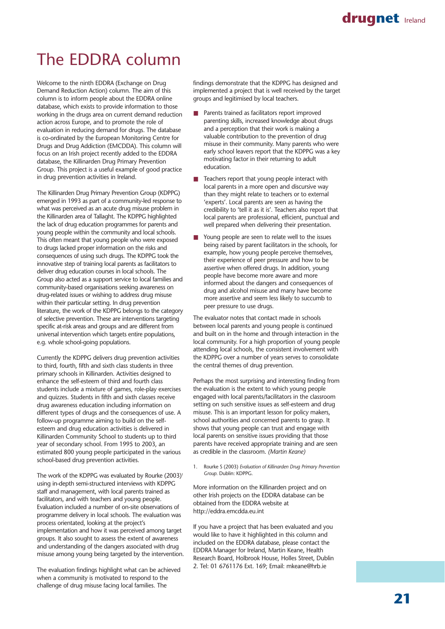# The EDDRA column

Welcome to the ninth EDDRA (Exchange on Drug Demand Reduction Action) column. The aim of this column is to inform people about the EDDRA online database, which exists to provide information to those working in the drugs area on current demand reduction action across Europe, and to promote the role of evaluation in reducing demand for drugs. The database is co-ordinated by the European Monitoring Centre for Drugs and Drug Addiction (EMCDDA). This column will focus on an Irish project recently added to the EDDRA database, the Killinarden Drug Primary Prevention Group. This project is a useful example of good practice in drug prevention activities in Ireland.

The Killinarden Drug Primary Prevention Group (KDPPG) emerged in 1993 as part of a community-led response to what was perceived as an acute drug misuse problem in the Killinarden area of Tallaght. The KDPPG highlighted the lack of drug education programmes for parents and young people within the community and local schools. This often meant that young people who were exposed to drugs lacked proper information on the risks and consequences of using such drugs. The KDPPG took the innovative step of training local parents as facilitators to deliver drug education courses in local schools. The Group also acted as a support service to local families and community-based organisations seeking awareness on drug-related issues or wishing to address drug misuse within their particular setting. In drug prevention literature, the work of the KDPPG belongs to the category of selective prevention. These are interventions targeting specific at-risk areas and groups and are different from universal intervention which targets entire populations, e.g. whole school-going populations.

Currently the KDPPG delivers drug prevention activities to third, fourth, fifth and sixth class students in three primary schools in Killinarden. Activities designed to enhance the self-esteem of third and fourth class students include a mixture of games, role-play exercises and quizzes. Students in fifth and sixth classes receive drug awareness education including information on different types of drugs and the consequences of use. A follow-up programme aiming to build on the selfesteem and drug education activities is delivered in Killinarden Community School to students up to third year of secondary school. From 1995 to 2003, an estimated 800 young people participated in the various school-based drug prevention activities.

The work of the KDPPG was evaluated by Rourke  $(2003)^{1}$ using in-depth semi-structured interviews with KDPPG staff and management, with local parents trained as facilitators, and with teachers and young people. Evaluation included a number of on-site observations of programme delivery in local schools. The evaluation was process orientated, looking at the project's implementation and how it was perceived among target groups. It also sought to assess the extent of awareness and understanding of the dangers associated with drug misuse among young being targeted by the intervention.

The evaluation findings highlight what can be achieved when a community is motivated to respond to the challenge of drug misuse facing local families. The

findings demonstrate that the KDPPG has designed and implemented a project that is well received by the target groups and legitimised by local teachers.

- Parents trained as facilitators report improved parenting skills, increased knowledge about drugs and a perception that their work is making a valuable contribution to the prevention of drug misuse in their community. Many parents who were early school leavers report that the KDPPG was a key motivating factor in their returning to adult education.
- Teachers report that young people interact with local parents in a more open and discursive way than they might relate to teachers or to external 'experts'. Local parents are seen as having the credibility to 'tell it as it is'. Teachers also report that local parents are professional, efficient, punctual and well prepared when delivering their presentation.
- Young people are seen to relate well to the issues being raised by parent facilitators in the schools, for example, how young people perceive themselves, their experience of peer pressure and how to be assertive when offered drugs. In addition, young people have become more aware and more informed about the dangers and consequences of drug and alcohol misuse and many have become more assertive and seem less likely to succumb to peer pressure to use drugs.

The evaluator notes that contact made in schools between local parents and young people is continued and built on in the home and through interaction in the local community. For a high proportion of young people attending local schools, the consistent involvement with the KDPPG over a number of years serves to consolidate the central themes of drug prevention.

Perhaps the most surprising and interesting finding from the evaluation is the extent to which young people engaged with local parents/facilitators in the classroom setting on such sensitive issues as self-esteem and drug misuse. This is an important lesson for policy makers, school authorities and concerned parents to grasp. It shows that young people can trust and engage with local parents on sensitive issues providing that those parents have received appropriate training and are seen as credible in the classroom. *(Martin Keane)*

1. Rourke S (2003) *Evaluation of Killinarden Drug Primary Prevention Group.* Dublin: KDPPG.

More information on the Killinarden project and on other Irish projects on the EDDRA database can be obtained from the EDDRA website at http://eddra.emcdda.eu.int

If you have a project that has been evaluated and you would like to have it highlighted in this column and included on the EDDRA database, please contact the EDDRA Manager for Ireland, Martin Keane, Health Research Board, Holbrook House, Holles Street, Dublin 2. Tel: 01 6761176 Ext. 169; Email: mkeane@hrb.ie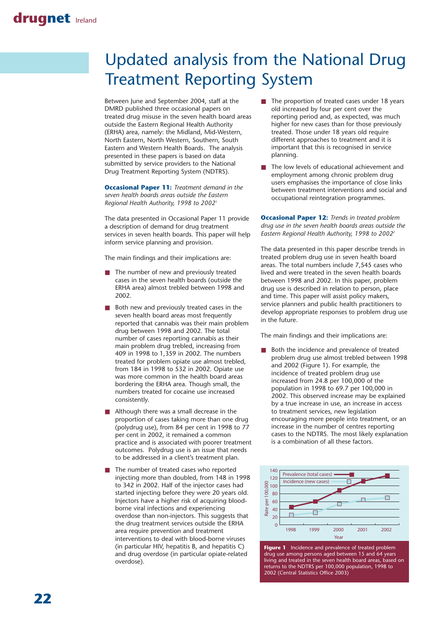# Updated analysis from the National Drug Treatment Reporting System

Between June and September 2004, staff at the DMRD published three occasional papers on treated drug misuse in the seven health board areas outside the Eastern Regional Health Authority (ERHA) area, namely: the Midland, Mid-Western, North Eastern, North Western, Southern, South Eastern and Western Health Boards. The analysis presented in these papers is based on data submitted by service providers to the National Drug Treatment Reporting System (NDTRS).

**Occasional Paper 11:** *Treatment demand in the seven health boards areas outside the Eastern Regional Health Authority, 1998 to 20021*

The data presented in Occasional Paper 11 provide a description of demand for drug treatment services in seven health boards. This paper will help inform service planning and provision.

The main findings and their implications are:

- The number of new and previously treated cases in the seven health boards (outside the ERHA area) almost trebled between 1998 and 2002.
- Both new and previously treated cases in the seven health board areas most frequently reported that cannabis was their main problem drug between 1998 and 2002. The total number of cases reporting cannabis as their main problem drug trebled, increasing from 409 in 1998 to 1,359 in 2002. The numbers treated for problem opiate use almost trebled, from 184 in 1998 to 532 in 2002. Opiate use was more common in the health board areas bordering the ERHA area. Though small, the numbers treated for cocaine use increased consistently.
- Although there was a small decrease in the proportion of cases taking more than one drug (polydrug use), from 84 per cent in 1998 to 77 per cent in 2002, it remained a common practice and is associated with poorer treatment outcomes. Polydrug use is an issue that needs to be addressed in a client's treatment plan.
- The number of treated cases who reported injecting more than doubled, from 148 in 1998 to 342 in 2002. Half of the injector cases had started injecting before they were 20 years old. Injectors have a higher risk of acquiring bloodborne viral infections and experiencing overdose than non-injectors. This suggests that the drug treatment services outside the ERHA area require prevention and treatment interventions to deal with blood-borne viruses (in particular HIV, hepatitis B, and hepatitis C) and drug overdose (in particular opiate-related overdose).
- The proportion of treated cases under 18 years old increased by four per cent over the reporting period and, as expected, was much higher for new cases than for those previously treated. Those under 18 years old require different approaches to treatment and it is important that this is recognised in service planning.
- The low levels of educational achievement and employment among chronic problem drug users emphasises the importance of close links between treatment interventions and social and occupational reintegration programmes.

**Occasional Paper 12:** *Trends in treated problem drug use in the seven health boards areas outside the Eastern Regional Health Authority, 1998 to 20022*

The data presented in this paper describe trends in treated problem drug use in seven health board areas. The total numbers include 7,545 cases who lived and were treated in the seven health boards between 1998 and 2002. In this paper, problem drug use is described in relation to person, place and time. This paper will assist policy makers, service planners and public health practitioners to develop appropriate responses to problem drug use in the future.

The main findings and their implications are:

Both the incidence and prevalence of treated problem drug use almost trebled between 1998 and 2002 (Figure 1). For example, the incidence of treated problem drug use increased from 24.8 per 100,000 of the population in 1998 to 69.7 per 100,000 in 2002. This observed increase may be explained by a true increase in use, an increase in access to treatment services, new legislation encouraging more people into treatment, or an increase in the number of centres reporting cases to the NDTRS. The most likely explanation is a combination of all these factors.



**Figure 1** Incidence and prevalence of treated problem drug use among persons aged between 15 and 64 years living and treated in the seven health board areas, based on returns to the NDTRS per 100,000 population, 1998 to 2002 (Central Statistics Office 2003)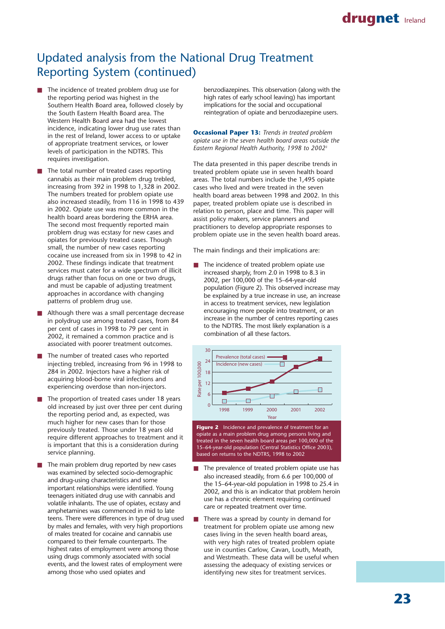### drugnet **Ireland**

# Updated analysis from the National Drug Treatment Reporting System (continued)

- The incidence of treated problem drug use for the reporting period was highest in the Southern Health Board area, followed closely by the South Eastern Health Board area. The Western Health Board area had the lowest incidence, indicating lower drug use rates than in the rest of Ireland, lower access to or uptake of appropriate treatment services, or lower levels of participation in the NDTRS. This requires investigation.
- The total number of treated cases reporting cannabis as their main problem drug trebled, increasing from 392 in 1998 to 1,328 in 2002. The numbers treated for problem opiate use also increased steadily, from 116 in 1998 to 439 in 2002. Opiate use was more common in the health board areas bordering the ERHA area. The second most frequently reported main problem drug was ecstasy for new cases and opiates for previously treated cases. Though small, the number of new cases reporting cocaine use increased from six in 1998 to 42 in 2002. These findings indicate that treatment services must cater for a wide spectrum of illicit drugs rather than focus on one or two drugs, and must be capable of adjusting treatment approaches in accordance with changing patterns of problem drug use.
- Although there was a small percentage decrease in polydrug use among treated cases, from 84 per cent of cases in 1998 to 79 per cent in 2002, it remained a common practice and is associated with poorer treatment outcomes.
- The number of treated cases who reported injecting trebled, increasing from 96 in 1998 to 284 in 2002. Injectors have a higher risk of acquiring blood-borne viral infections and experiencing overdose than non-injectors.
- The proportion of treated cases under 18 years old increased by just over three per cent during the reporting period and, as expected, was much higher for new cases than for those previously treated. Those under 18 years old require different approaches to treatment and it is important that this is a consideration during service planning.
- The main problem drug reported by new cases was examined by selected socio-demographic and drug-using characteristics and some important relationships were identified. Young teenagers initiated drug use with cannabis and volatile inhalants. The use of opiates, ecstasy and amphetamines was commenced in mid to late teens. There were differences in type of drug used by males and females, with very high proportions of males treated for cocaine and cannabis use compared to their female counterparts. The highest rates of employment were among those using drugs commonly associated with social events, and the lowest rates of employment were among those who used opiates and

benzodiazepines. This observation (along with the high rates of early school leaving) has important implications for the social and occupational reintegration of opiate and benzodiazepine users.

**Occasional Paper 13:** *Trends in treated problem opiate use in the seven health board areas outside the Eastern Regional Health Authority, 1998 to 20023*

The data presented in this paper describe trends in treated problem opiate use in seven health board areas. The total numbers include the 1,495 opiate cases who lived and were treated in the seven health board areas between 1998 and 2002. In this paper, treated problem opiate use is described in relation to person, place and time. This paper will assist policy makers, service planners and practitioners to develop appropriate responses to problem opiate use in the seven health board areas.

The main findings and their implications are:

■ The incidence of treated problem opiate use increased sharply, from 2.0 in 1998 to 8.3 in 2002, per 100,000 of the 15–64-year-old population (Figure 2). This observed increase may be explained by a true increase in use, an increase in access to treatment services, new legislation encouraging more people into treatment, or an increase in the number of centres reporting cases to the NDTRS. The most likely explanation is a combination of all these factors.



**Figure 2** Incidence and prevalence of treatment for an opiate as a main problem drug among persons living and treated in the seven health board areas per 100,000 of the 15–64-year-old population (Central Statistics Office 2003), based on returns to the NDTRS, 1998 to 2002

- The prevalence of treated problem opiate use has also increased steadily, from 6.6 per 100,000 of the 15–64-year-old population in 1998 to 25.4 in 2002, and this is an indicator that problem heroin use has a chronic element requiring continued care or repeated treatment over time.
- There was a spread by county in demand for treatment for problem opiate use among new cases living in the seven health board areas, with very high rates of treated problem opiate use in counties Carlow, Cavan, Louth, Meath, and Westmeath. These data will be useful when assessing the adequacy of existing services or identifying new sites for treatment services.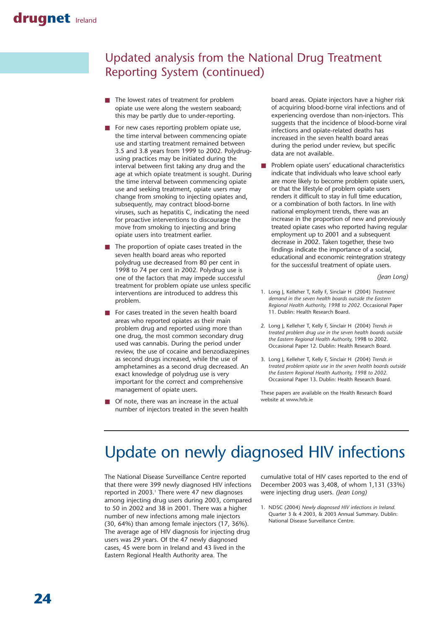# Updated analysis from the National Drug Treatment Reporting System (continued)

- The lowest rates of treatment for problem opiate use were along the western seaboard; this may be partly due to under-reporting.
- For new cases reporting problem opiate use, the time interval between commencing opiate use and starting treatment remained between 3.5 and 3.8 years from 1999 to 2002. Polydrugusing practices may be initiated during the interval between first taking any drug and the age at which opiate treatment is sought. During the time interval between commencing opiate use and seeking treatment, opiate users may change from smoking to injecting opiates and, subsequently, may contract blood-borne viruses, such as hepatitis C, indicating the need for proactive interventions to discourage the move from smoking to injecting and bring opiate users into treatment earlier.
- The proportion of opiate cases treated in the seven health board areas who reported polydrug use decreased from 80 per cent in 1998 to 74 per cent in 2002. Polydrug use is one of the factors that may impede successful treatment for problem opiate use unless specific interventions are introduced to address this problem.
- For cases treated in the seven health board areas who reported opiates as their main problem drug and reported using more than one drug, the most common secondary drug used was cannabis. During the period under review, the use of cocaine and benzodiazepines as second drugs increased, while the use of amphetamines as a second drug decreased. An exact knowledge of polydrug use is very important for the correct and comprehensive management of opiate users.
- Of note, there was an increase in the actual number of injectors treated in the seven health

board areas. Opiate injectors have a higher risk of acquiring blood-borne viral infections and of experiencing overdose than non-injectors. This suggests that the incidence of blood-borne viral infections and opiate-related deaths has increased in the seven health board areas during the period under review, but specific data are not available.

Problem opiate users' educational characteristics indicate that individuals who leave school early are more likely to become problem opiate users, or that the lifestyle of problem opiate users renders it difficult to stay in full time education, or a combination of both factors. In line with national employment trends, there was an increase in the proportion of new and previously treated opiate cases who reported having regular employment up to 2001 and a subsequent decrease in 2002. Taken together, these two findings indicate the importance of a social, educational and economic reintegration strategy for the successful treatment of opiate users.

*(Jean Long)*

- 1. Long J, Kelleher T, Kelly F, Sinclair H (2004) *Treatment demand in the seven health boards outside the Eastern Regional Health Authority, 1998 to 2002.* Occasional Paper 11. Dublin: Health Research Board.
- 2. Long J, Kelleher T, Kelly F, Sinclair H (2004) *Trends in treated problem drug use in the seven health boards outside the Eastern Regional Health Authority,* 1998 to 2002. Occasional Paper 12. Dublin: Health Research Board.
- 3. Long J, Kelleher T, Kelly F, Sinclair H (2004) *Trends in treated problem opiate use in the seven health boards outside the Eastern Regional Health Authority, 1998 to 2002.* Occasional Paper 13. Dublin: Health Research Board.

These papers are available on the Health Research Board website at www.hrb.ie

# Update on newly diagnosed HIV infections

The National Disease Surveillance Centre reported that there were 399 newly diagnosed HIV infections reported in 2003.<sup>1</sup> There were 47 new diagnoses among injecting drug users during 2003, compared to 50 in 2002 and 38 in 2001. There was a higher number of new infections among male injectors (30, 64%) than among female injectors (17, 36%). The average age of HIV diagnosis for injecting drug users was 29 years. Of the 47 newly diagnosed cases, 45 were born in Ireland and 43 lived in the Eastern Regional Health Authority area. The

cumulative total of HIV cases reported to the end of December 2003 was 3,408, of whom 1,131 (33%) were injecting drug users. *(Jean Long)*

1. NDSC (2004) *Newly diagnosed HIV infections in Ireland.* Quarter 3 & 4 2003, & 2003 Annual Summary. Dublin: National Disease Surveillance Centre.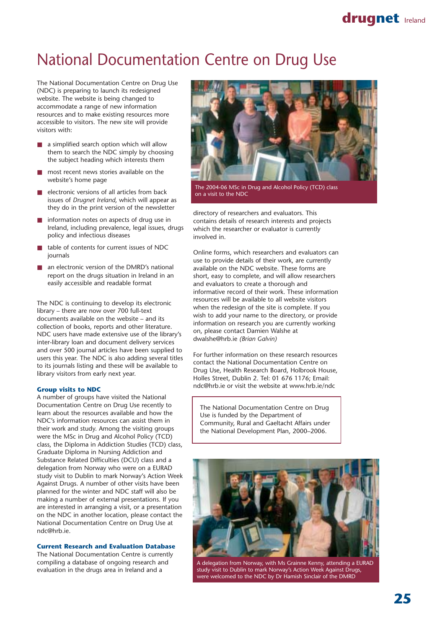# National Documentation Centre on Drug Use

The National Documentation Centre on Drug Use (NDC) is preparing to launch its redesigned website. The website is being changed to accommodate a range of new information resources and to make existing resources more accessible to visitors. The new site will provide visitors with:

- a simplified search option which will allow them to search the NDC simply by choosing the subject heading which interests them
- most recent news stories available on the website's home page
- electronic versions of all articles from back issues of *Drugnet Ireland*, which will appear as they do in the print version of the newsletter
- information notes on aspects of drug use in Ireland, including prevalence, legal issues, drugs policy and infectious diseases
- table of contents for current issues of NDC journals
- an electronic version of the DMRD's national report on the drugs situation in Ireland in an easily accessible and readable format

The NDC is continuing to develop its electronic library – there are now over 700 full-text documents available on the website – and its collection of books, reports and other literature. NDC users have made extensive use of the library's inter-library loan and document delivery services and over 500 journal articles have been supplied to users this year. The NDC is also adding several titles to its journals listing and these will be available to library visitors from early next year.

#### **Group visits to NDC**

A number of groups have visited the National Documentation Centre on Drug Use recently to learn about the resources available and how the NDC's information resources can assist them in their work and study. Among the visiting groups were the MSc in Drug and Alcohol Policy (TCD) class, the Diploma in Addiction Studies (TCD) class, Graduate Diploma in Nursing Addiction and Substance Related Difficulties (DCU) class and a delegation from Norway who were on a EURAD study visit to Dublin to mark Norway's Action Week Against Drugs. A number of other visits have been planned for the winter and NDC staff will also be making a number of external presentations. If you are interested in arranging a visit, or a presentation on the NDC in another location, please contact the National Documentation Centre on Drug Use at ndc@hrb.ie.

#### **Current Research and Evaluation Database**

The National Documentation Centre is currently compiling a database of ongoing research and evaluation in the drugs area in Ireland and a



The 2004-06 MSc in Drug and Alcohol Policy (TCD) class on a visit to the NDC

directory of researchers and evaluators. This contains details of research interests and projects which the researcher or evaluator is currently involved in.

Online forms, which researchers and evaluators can use to provide details of their work, are currently available on the NDC website. These forms are short, easy to complete, and will allow researchers and evaluators to create a thorough and informative record of their work. These information resources will be available to all website visitors when the redesign of the site is complete. If you wish to add your name to the directory, or provide information on research you are currently working on, please contact Damien Walshe at dwalshe@hrb.ie *(Brian Galvin)*

For further information on these research resources contact the National Documentation Centre on Drug Use, Health Research Board, Holbrook House, Holles Street, Dublin 2. Tel: 01 676 1176; Email: ndc@hrb.ie or visit the website at www.hrb.ie/ndc

The National Documentation Centre on Drug Use is funded by the Department of Community, Rural and Gaeltacht Affairs under the National Development Plan, 2000–2006.



A delegation from Norway, with Ms Grainne Kenny, attending a EURAD study visit to Dublin to mark Norway's Action Week Against Drugs, were welcomed to the NDC by Dr Hamish Sinclair of the DMRD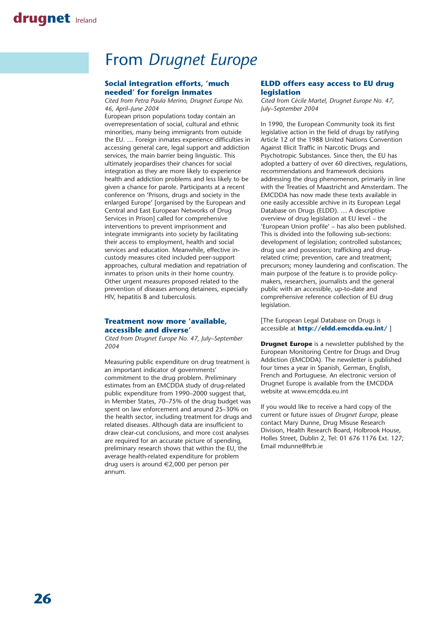# From *Drugnet Europe*

### **Social integration efforts, 'much needed' for foreign inmates**

*Cited from Petra Paula Merino, Drugnet Europe No. 46, April–June 2004*

European prison populations today contain an overrepresentation of social, cultural and ethnic minorities, many being immigrants from outside the EU. … Foreign inmates experience difficulties in accessing general care, legal support and addiction services, the main barrier being linguistic. This ultimately jeopardises their chances for social integration as they are more likely to experience health and addiction problems and less likely to be given a chance for parole. Participants at a recent conference on 'Prisons, drugs and society in the enlarged Europe' [organised by the European and Central and East European Networks of Drug Services in Prison] called for comprehensive interventions to prevent imprisonment and integrate immigrants into society by facilitating their access to employment, health and social services and education. Meanwhile, effective incustody measures cited included peer-support approaches, cultural mediation and repatriation of inmates to prison units in their home country. Other urgent measures proposed related to the prevention of diseases among detainees, especially HIV, hepatitis B and tuberculosis.

### **Treatment now more 'available, accessible and diverse'**

*Cited from Drugnet Europe No. 47, July–September 2004*

Measuring public expenditure on drug treatment is an important indicator of governments' commitment to the drug problem. Preliminary estimates from an EMCDDA study of drug-related public expenditure from 1990–2000 suggest that, in Member States, 70–75% of the drug budget was spent on law enforcement and around 25–30% on the health sector, including treatment for drugs and related diseases. Although data are insufficient to draw clear-cut conclusions, and more cost analyses are required for an accurate picture of spending, preliminary research shows that within the EU, the average health-related expenditure for problem drug users is around €2,000 per person per annum.

### **ELDD offers easy access to EU drug legislation**

*Cited from Cécile Martel, Drugnet Europe No. 47, July–September 2004*

In 1990, the European Community took its first legislative action in the field of drugs by ratifying Article 12 of the 1988 United Nations Convention Against Illicit Traffic in Narcotic Drugs and Psychotropic Substances. Since then, the EU has adopted a battery of over 60 directives, regulations, recommendations and framework decisions addressing the drug phenomenon, primarily in line with the Treaties of Maastricht and Amsterdam. The EMCDDA has now made these texts available in one easily accessible archive in its European Legal Database on Drugs (ELDD). … A descriptive overview of drug legislation at EU level – the 'European Union profile' – has also been published. This is divided into the following sub-sections: development of legislation; controlled substances; drug use and possession; trafficking and drugrelated crime; prevention, care and treatment; precursors; money laundering and confiscation. The main purpose of the feature is to provide policymakers, researchers, journalists and the general public with an accessible, up-to-date and comprehensive reference collection of EU drug legislation.

[The European Legal Database on Drugs is accessible at **http://eldd.emcdda.eu.int/** ]

**Drugnet Europe** is a newsletter published by the European Monitoring Centre for Drugs and Drug Addiction (EMCDDA). The newsletter is published four times a year in Spanish, German, English, French and Portuguese. An electronic version of Drugnet Europe is available from the EMCDDA website at www.emcdda.eu.int

If you would like to receive a hard copy of the current or future issues of *Drugnet Europe*, please contact Mary Dunne, Drug Misuse Research Division, Health Research Board, Holbrook House, Holles Street, Dublin 2, Tel: 01 676 1176 Ext. 127; Email mdunne@hrb.ie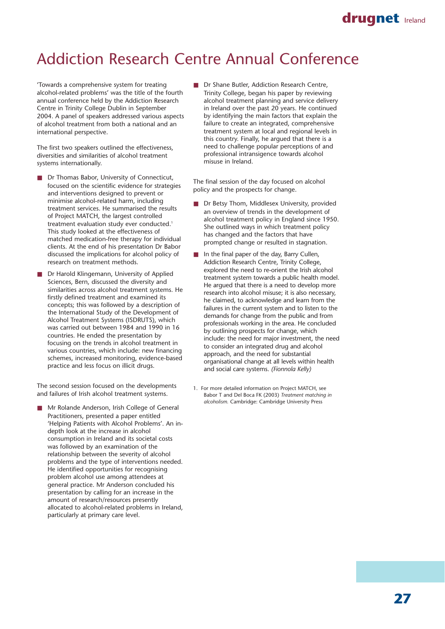### drugnet **Ireland**

# Addiction Research Centre Annual Conference

'Towards a comprehensive system for treating alcohol-related problems' was the title of the fourth annual conference held by the Addiction Research Centre in Trinity College Dublin in September 2004. A panel of speakers addressed various aspects of alcohol treatment from both a national and an international perspective.

The first two speakers outlined the effectiveness, diversities and similarities of alcohol treatment systems internationally.

- Dr Thomas Babor, University of Connecticut, focused on the scientific evidence for strategies and interventions designed to prevent or minimise alcohol-related harm, including treatment services. He summarised the results of Project MATCH, the largest controlled treatment evaluation study ever conducted.<sup>1</sup> This study looked at the effectiveness of matched medication-free therapy for individual clients. At the end of his presentation Dr Babor discussed the implications for alcohol policy of research on treatment methods.
- Dr Harold Klingemann, University of Applied Sciences, Bern, discussed the diversity and similarities across alcohol treatment systems. He firstly defined treatment and examined its concepts; this was followed by a description of the International Study of the Development of Alcohol Treatment Systems (ISDRUTS), which was carried out between 1984 and 1990 in 16 countries. He ended the presentation by focusing on the trends in alcohol treatment in various countries, which include: new financing schemes, increased monitoring, evidence-based practice and less focus on illicit drugs.

The second session focused on the developments and failures of Irish alcohol treatment systems.

Mr Rolande Anderson, Irish College of General Practitioners, presented a paper entitled 'Helping Patients with Alcohol Problems'. An indepth look at the increase in alcohol consumption in Ireland and its societal costs was followed by an examination of the relationship between the severity of alcohol problems and the type of interventions needed. He identified opportunities for recognising problem alcohol use among attendees at general practice. Mr Anderson concluded his presentation by calling for an increase in the amount of research/resources presently allocated to alcohol-related problems in Ireland, particularly at primary care level.

■ Dr Shane Butler, Addiction Research Centre, Trinity College, began his paper by reviewing alcohol treatment planning and service delivery in Ireland over the past 20 years. He continued by identifying the main factors that explain the failure to create an integrated, comprehensive treatment system at local and regional levels in this country. Finally, he argued that there is a need to challenge popular perceptions of and professional intransigence towards alcohol misuse in Ireland.

The final session of the day focused on alcohol policy and the prospects for change.

- Dr Betsy Thom, Middlesex University, provided an overview of trends in the development of alcohol treatment policy in England since 1950. She outlined ways in which treatment policy has changed and the factors that have prompted change or resulted in stagnation.
- In the final paper of the day, Barry Cullen, Addiction Research Centre, Trinity College, explored the need to re-orient the Irish alcohol treatment system towards a public health model. He argued that there is a need to develop more research into alcohol misuse; it is also necessary, he claimed, to acknowledge and learn from the failures in the current system and to listen to the demands for change from the public and from professionals working in the area. He concluded by outlining prospects for change, which include: the need for major investment, the need to consider an integrated drug and alcohol approach, and the need for substantial organisational change at all levels within health and social care systems. *(Fionnola Kelly)*
- 1. For more detailed information on Project MATCH, see Babor T and Del Boca FK (2003) *Treatment matching in alcoholism.* Cambridge: Cambridge University Press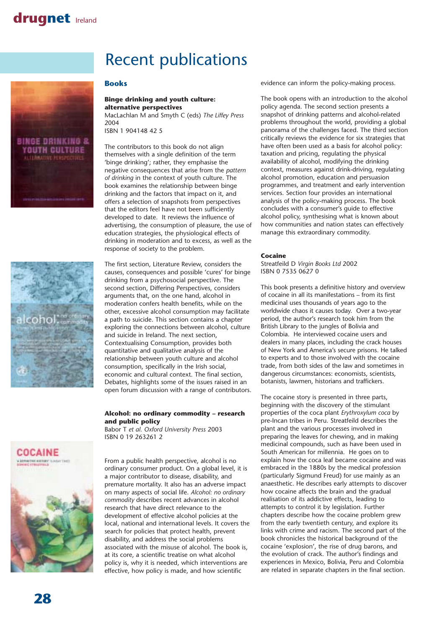# Recent publications

### **Books**





### **Binge drinking and youth culture: alternative perspectives**

MacLachlan M and Smyth C (eds) *The Liffey Press* 2004

ISBN 1 904148 42 5

The contributors to this book do not align themselves with a single definition of the term 'binge drinking'; rather, they emphasise the negative consequences that arise from the *pattern of drinking* in the context of youth culture. The book examines the relationship between binge drinking and the factors that impact on it, and offers a selection of snapshots from perspectives that the editors feel have not been sufficiently developed to date. It reviews the influence of advertising, the consumption of pleasure, the use of education strategies, the physiological effects of drinking in moderation and to excess, as well as the response of society to the problem.

The first section, Literature Review, considers the causes, consequences and possible 'cures' for binge drinking from a psychosocial perspective. The second section, Differing Perspectives, considers arguments that, on the one hand, alcohol in moderation confers health benefits, while on the other, excessive alcohol consumption may facilitate a path to suicide. This section contains a chapter exploring the connections between alcohol, culture and suicide in Ireland. The next section, Contextualising Consumption, provides both quantitative and qualitative analysis of the relationship between youth culture and alcohol consumption, specifically in the Irish social, economic and cultural context. The final section, Debates, highlights some of the issues raised in an open forum discussion with a range of contributors.

### **Alcohol: no ordinary commodity – research and public policy**

Babor T *et al. Oxford University Press* 2003 ISBN 0 19 263261 2



From a public health perspective, alcohol is no ordinary consumer product. On a global level, it is a major contributor to disease, disability, and premature mortality. It also has an adverse impact on many aspects of social life. *Alcohol: no ordinary commodity* describes recent advances in alcohol research that have direct relevance to the development of effective alcohol policies at the local, national and international levels. It covers the search for policies that protect health, prevent disability, and address the social problems associated with the misuse of alcohol. The book is, at its core, a scientific treatise on what alcohol policy is, why it is needed, which interventions are effective, how policy is made, and how scientific

evidence can inform the policy-making process.

The book opens with an introduction to the alcohol policy agenda. The second section presents a snapshot of drinking patterns and alcohol-related problems throughout the world, providing a global panorama of the challenges faced. The third section critically reviews the evidence for six strategies that have often been used as a basis for alcohol policy: taxation and pricing, regulating the physical availability of alcohol, modifying the drinking context, measures against drink-driving, regulating alcohol promotion, education and persuasion programmes, and treatment and early intervention services. Section four provides an international analysis of the policy-making process. The book concludes with a consumer's guide to effective alcohol policy, synthesising what is known about how communities and nation states can effectively manage this extraordinary commodity.

#### **Cocaine**

Streatfeild D *Virgin Books Ltd* 2002 ISBN 0 7535 0627 0

This book presents a definitive history and overview of cocaine in all its manifestations – from its first medicinal uses thousands of years ago to the worldwide chaos it causes today. Over a two-year period, the author's research took him from the British Library to the jungles of Bolivia and Colombia. He interviewed cocaine users and dealers in many places, including the crack houses of New York and America's secure prisons. He talked to experts and to those involved with the cocaine trade, from both sides of the law and sometimes in dangerous circumstances: economists, scientists, botanists, lawmen, historians and traffickers.

The cocaine story is presented in three parts, beginning with the discovery of the stimulant properties of the coca plant *Erythroxylum coca* by pre-Incan tribes in Peru. Streatfeild describes the plant and the various processes involved in preparing the leaves for chewing, and in making medicinal compounds, such as have been used in South American for millennia. He goes on to explain how the coca leaf became cocaine and was embraced in the 1880s by the medical profession (particularly Sigmund Freud) for use mainly as an anaesthetic. He describes early attempts to discover how cocaine affects the brain and the gradual realisation of its addictive effects, leading to attempts to control it by legislation. Further chapters describe how the cocaine problem grew from the early twentieth century, and explore its links with crime and racism. The second part of the book chronicles the historical background of the cocaine 'explosion', the rise of drug barons, and the evolution of crack. The author's findings and experiences in Mexico, Bolivia, Peru and Colombia are related in separate chapters in the final section.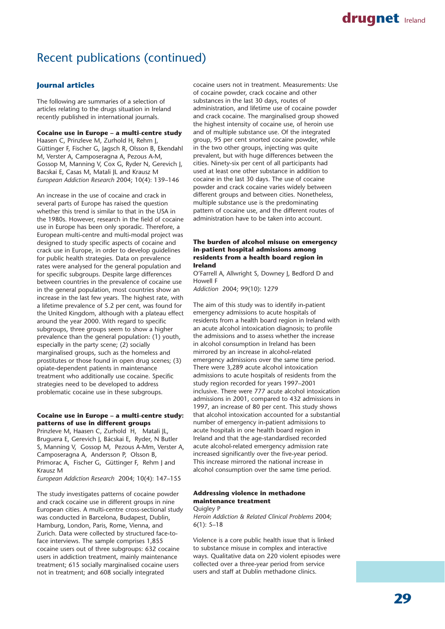### Recent publications (continued)

### **Journal articles**

The following are summaries of a selection of articles relating to the drugs situation in Ireland recently published in international journals.

### **Cocaine use in Europe – a multi-centre study**

Haasen C, Prinzleve M, Zurhold H, Rehm J, Güttinger F, Fischer G, Jagsch R, Olsson B, Ekendahl M, Verster A, Camposeragna A, Pezous A-M, Gossop M, Manning V, Cox G, Ryder N, Gerevich J, Bacskai E, Casas M, Matali JL and Krausz M *European Addiction Research* 2004; 10(4): 139–146

An increase in the use of cocaine and crack in several parts of Europe has raised the question whether this trend is similar to that in the USA in the 1980s. However, research in the field of cocaine use in Europe has been only sporadic. Therefore, a European multi-centre and multi-modal project was designed to study specific aspects of cocaine and crack use in Europe, in order to develop guidelines for public health strategies. Data on prevalence rates were analysed for the general population and for specific subgroups. Despite large differences between countries in the prevalence of cocaine use in the general population, most countries show an increase in the last few years. The highest rate, with a lifetime prevalence of 5.2 per cent, was found for the United Kingdom, although with a plateau effect around the year 2000. With regard to specific subgroups, three groups seem to show a higher prevalence than the general population: (1) youth, especially in the party scene; (2) socially marginalised groups, such as the homeless and prostitutes or those found in open drug scenes; (3) opiate-dependent patients in maintenance treatment who additionally use cocaine. Specific strategies need to be developed to address problematic cocaine use in these subgroups.

#### **Cocaine use in Europe – a multi-centre study: patterns of use in different groups**

Prinzleve M, Haasen C, Zurhold H, Matali JL, Bruguera E, Gerevich J, Bácskai E, Ryder, N Butler S, Manning V, Gossop M, Pezous A-Mm, Verster A, Camposeragna A, Andersson P, Olsson B, Primorac A, Fischer G, Güttinger F, Rehm J and Krausz M

*European Addiction Research* 2004; 10(4): 147–155

The study investigates patterns of cocaine powder and crack cocaine use in different groups in nine European cities. A multi-centre cross-sectional study was conducted in Barcelona, Budapest, Dublin, Hamburg, London, Paris, Rome, Vienna, and Zurich. Data were collected by structured face-toface interviews. The sample comprises 1,855 cocaine users out of three subgroups: 632 cocaine users in addiction treatment, mainly maintenance treatment; 615 socially marginalised cocaine users not in treatment; and 608 socially integrated

cocaine users not in treatment. Measurements: Use of cocaine powder, crack cocaine and other substances in the last 30 days, routes of administration, and lifetime use of cocaine powder and crack cocaine. The marginalised group showed the highest intensity of cocaine use, of heroin use and of multiple substance use. Of the integrated group, 95 per cent snorted cocaine powder, while in the two other groups, injecting was quite prevalent, but with huge differences between the cities. Ninety-six per cent of all participants had used at least one other substance in addition to cocaine in the last 30 days. The use of cocaine powder and crack cocaine varies widely between different groups and between cities. Nonetheless, multiple substance use is the predominating pattern of cocaine use, and the different routes of administration have to be taken into account.

#### **The burden of alcohol misuse on emergency in-patient hospital admissions among residents from a health board region in Ireland**

O'Farrell A, Allwright S, Downey J, Bedford D and Howell F

*Addiction* 2004; 99(10): 1279

The aim of this study was to identify in-patient emergency admissions to acute hospitals of residents from a health board region in Ireland with an acute alcohol intoxication diagnosis; to profile the admissions and to assess whether the increase in alcohol consumption in Ireland has been mirrored by an increase in alcohol-related emergency admissions over the same time period. There were 3,289 acute alcohol intoxication admissions to acute hospitals of residents from the study region recorded for years 1997–2001 inclusive. There were 777 acute alcohol intoxication admissions in 2001, compared to 432 admissions in 1997, an increase of 80 per cent. This study shows that alcohol intoxication accounted for a substantial number of emergency in-patient admissions to acute hospitals in one health board region in Ireland and that the age-standardised recorded acute alcohol-related emergency admission rate increased significantly over the five-year period. This increase mirrored the national increase in alcohol consumption over the same time period.

#### **Addressing violence in methadone maintenance treatment**

**Ouigley P** 

*Heroin Addiction & Related Clinical Problems* 2004; 6(1): 5–18

Violence is a core public health issue that is linked to substance misuse in complex and interactive ways. Qualitative data on 220 violent episodes were collected over a three-year period from service users and staff at Dublin methadone clinics.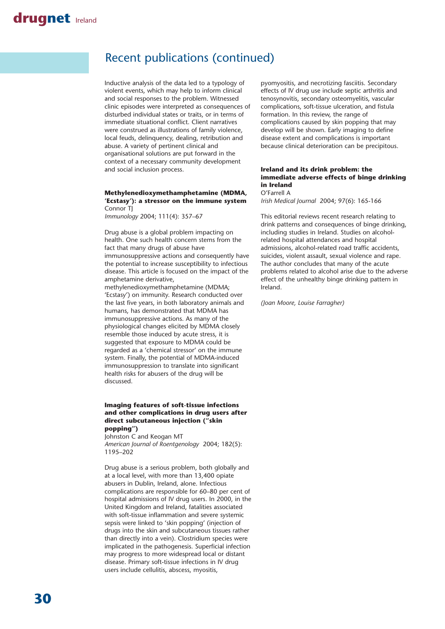### Recent publications (continued)

Inductive analysis of the data led to a typology of violent events, which may help to inform clinical and social responses to the problem. Witnessed clinic episodes were interpreted as consequences of disturbed individual states or traits, or in terms of immediate situational conflict. Client narratives were construed as illustrations of family violence, local feuds, delinquency, dealing, retribution and abuse. A variety of pertinent clinical and organisational solutions are put forward in the context of a necessary community development and social inclusion process.

#### **Methylenedioxymethamphetamine (MDMA, 'Ecstasy'): a stressor on the immune system** Connor TJ

*Immunology* 2004; 111(4): 357–67

Drug abuse is a global problem impacting on health. One such health concern stems from the fact that many drugs of abuse have immunosuppressive actions and consequently have the potential to increase susceptibility to infectious disease. This article is focused on the impact of the amphetamine derivative,

methylenedioxymethamphetamine (MDMA; 'Ecstasy') on immunity. Research conducted over the last five years, in both laboratory animals and humans, has demonstrated that MDMA has immunosuppressive actions. As many of the physiological changes elicited by MDMA closely resemble those induced by acute stress, it is suggested that exposure to MDMA could be regarded as a 'chemical stressor' on the immune system. Finally, the potential of MDMA-induced immunosuppression to translate into significant health risks for abusers of the drug will be discussed.

#### **Imaging features of soft-tissue infections and other complications in drug users after direct subcutaneous injection ("skin popping")**

Johnston C and Keogan MT *American Journal of Roentgenology* 2004; 182(5): 1195–202

Drug abuse is a serious problem, both globally and at a local level, with more than 13,400 opiate abusers in Dublin, Ireland, alone. Infectious complications are responsible for 60–80 per cent of hospital admissions of IV drug users. In 2000, in the United Kingdom and Ireland, fatalities associated with soft-tissue inflammation and severe systemic sepsis were linked to 'skin popping' (injection of drugs into the skin and subcutaneous tissues rather than directly into a vein). Clostridium species were implicated in the pathogenesis. Superficial infection may progress to more widespread local or distant disease. Primary soft-tissue infections in IV drug users include cellulitis, abscess, myositis,

pyomyositis, and necrotizing fasciitis. Secondary effects of IV drug use include septic arthritis and tenosynovitis, secondary osteomyelitis, vascular complications, soft-tissue ulceration, and fistula formation. In this review, the range of complications caused by skin popping that may develop will be shown. Early imaging to define disease extent and complications is important because clinical deterioration can be precipitous.

#### **Ireland and its drink problem: the immediate adverse effects of binge drinking in Ireland**  O'Farrell A

*Irish Medical Journal* 2004; 97(6): 165-166

This editorial reviews recent research relating to drink patterns and consequences of binge drinking, including studies in Ireland. Studies on alcoholrelated hospital attendances and hospital admissions, alcohol-related road traffic accidents, suicides, violent assault, sexual violence and rape. The author concludes that many of the acute problems related to alcohol arise due to the adverse effect of the unhealthy binge drinking pattern in Ireland.

*(Joan Moore, Louise Farragher)*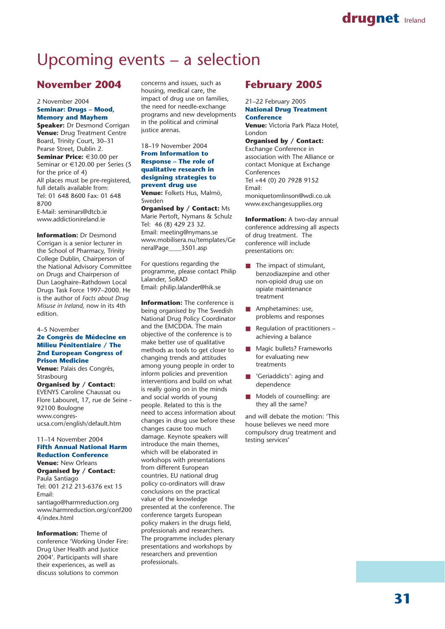# Upcoming events – a selection

### **November 2004**

### 2 November 2004 **Seminar: Drugs – Mood, Memory and Mayhem**

**Speaker: Dr Desmond Corrigan Venue:** Drug Treatment Centre Board, Trinity Court, 30–31 Pearse Street, Dublin 2. **Seminar Price:** €30.00 per Seminar or €120.00 per Series (5 for the price of 4) All places must be pre-registered, full details available from: Tel: 01 648 8600 Fax: 01 648 8700 E-Mail: seminars@dtcb.ie

www.addictionireland.ie

**Information: Dr Desmond** Corrigan is a senior lecturer in the School of Pharmacy, Trinity College Dublin, Chairperson of the National Advisory Committee on Drugs and Chairperson of Dun Laoghaire–Rathdown Local Drugs Task Force 1997–2000. He is the author of *Facts about Drug Misuse in Ireland,* now in its 4th edition.

4–5 November

### **2e Congrès de Médecine en Milieu Pénitentiaire / The 2nd European Congress of Prison Medicine**

**Venue:** Palais des Congrès, Strasbourg

**Organised by / Contact:** EVENYS Caroline Chaussat ou Flore Labouret, 17, rue de Seine - 92100 Boulogne www.congresucsa.com/english/default.htm

#### 11–14 November 2004 **Fifth Annual National Harm Reduction Conference Venue:** New Orleans

**Organised by / Contact:** Paula Santiago Tel: 001 212 213-6376 ext 15 Email: santiago@harmreduction.org www.harmreduction.org/conf200 4/index.html

**Information:** Theme of conference 'Working Under Fire: Drug User Health and Justice 2004'. Participants will share their experiences, as well as discuss solutions to common

concerns and issues, such as housing, medical care, the impact of drug use on families, the need for needle-exchange programs and new developments in the political and criminal justice arenas.

#### 18–19 November 2004 **From Information to Response – The role of qualitative research in designing strategies to prevent drug use**

**Venue:** Folkets Hus, Malmö, Sweden

**Organised by / Contact:** Ms Marie Pertoft, Nymans & Schulz Tel: 46 (8) 429 23 32. Email: meeting@nymans.se www.mobilisera.nu/templates/Ge neralPage\_\_\_\_3501.asp

For questions regarding the programme, please contact Philip Lalander, SoRAD Email: philip.lalander@hik.se

**Information:** The conference is being organised by The Swedish National Drug Policy Coordinator and the EMCDDA. The main objective of the conference is to make better use of qualitative methods as tools to get closer to changing trends and attitudes among young people in order to inform policies and prevention interventions and build on what is really going on in the minds and social worlds of young people. Related to this is the need to access information about changes in drug use before these changes cause too much damage. Keynote speakers will introduce the main themes, which will be elaborated in workshops with presentations from different European countries. EU national drug policy co-ordinators will draw conclusions on the practical value of the knowledge presented at the conference. The conference targets European policy makers in the drugs field, professionals and researchers. The programme includes plenary presentations and workshops by researchers and prevention professionals.

### **February 2005**

21–22 February 2005 **National Drug Treatment Conference Venue:** Victoria Park Plaza Hotel, London **Organised by / Contact:** Exchange Conference in association with The Alliance or contact Monique at Exchange Conferences Tel +44 (0) 20 7928 9152 Email: moniquetomlinson@wdi.co.uk

**Information:** A two-day annual conference addressing all aspects of drug treatment. The conference will include presentations on:

www.exchangesupplies.org

- The impact of stimulant, benzodiazepine and other non-opioid drug use on opiate maintenance treatment
- Amphetamines: use, problems and responses
- Regulation of practitioners achieving a balance
- Magic bullets? Frameworks for evaluating new treatments
- 'Geriaddicts': aging and dependence
- Models of counselling: are they all the same?

and will debate the motion: 'This house believes we need more compulsory drug treatment and testing services'